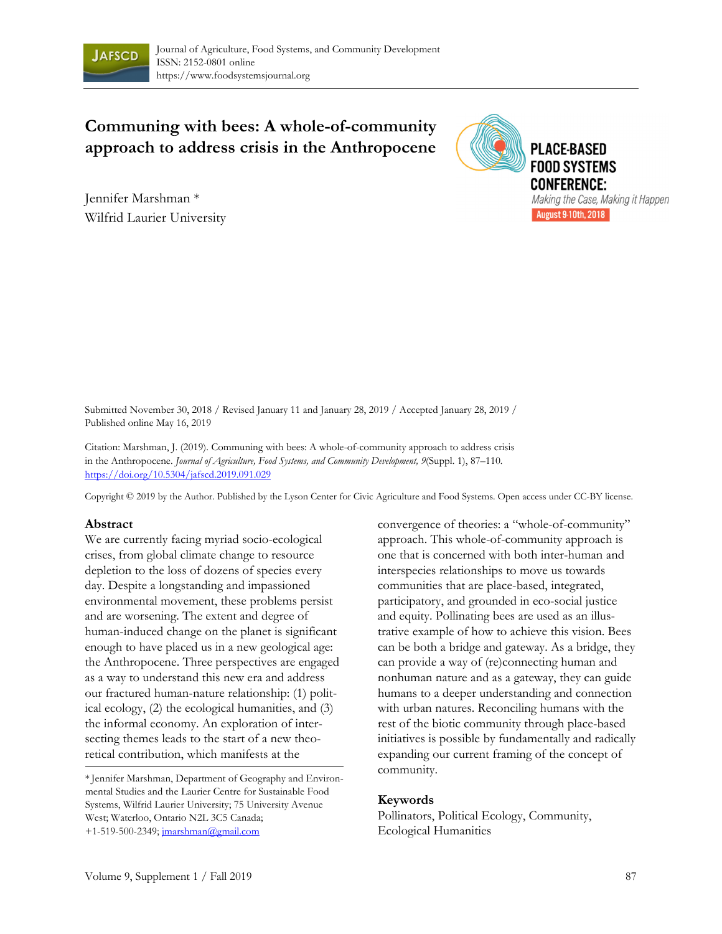

# **Communing with bees: A whole-of-community approach to address crisis in the Anthropocene**

Jennifer Marshman \* Wilfrid Laurier University



Submitted November 30, 2018 / Revised January 11 and January 28, 2019 / Accepted January 28, 2019 / Published online May 16, 2019

Citation: Marshman, J. (2019). Communing with bees: A whole-of-community approach to address crisis in the Anthropocene. *Journal of Agriculture, Food Systems, and Community Development, 9*(Suppl. 1), 87–110*.* https://doi.org/10.5304/jafscd.2019.091.029

Copyright © 2019 by the Author. Published by the Lyson Center for Civic Agriculture and Food Systems. Open access under CC-BY license.

#### **Abstract**

We are currently facing myriad socio-ecological crises, from global climate change to resource depletion to the loss of dozens of species every day. Despite a longstanding and impassioned environmental movement, these problems persist and are worsening. The extent and degree of human-induced change on the planet is significant enough to have placed us in a new geological age: the Anthropocene. Three perspectives are engaged as a way to understand this new era and address our fractured human-nature relationship: (1) political ecology, (2) the ecological humanities, and (3) the informal economy. An exploration of intersecting themes leads to the start of a new theoretical contribution, which manifests at the

\* Jennifer Marshman, Department of Geography and Environmental Studies and the Laurier Centre for Sustainable Food Systems, Wilfrid Laurier University; 75 University Avenue West; Waterloo, Ontario N2L 3C5 Canada; +1-519-500-2349; jmarshman@gmail.com

convergence of theories: a "whole-of-community" approach. This whole-of-community approach is one that is concerned with both inter-human and interspecies relationships to move us towards communities that are place-based, integrated, participatory, and grounded in eco-social justice and equity. Pollinating bees are used as an illustrative example of how to achieve this vision. Bees can be both a bridge and gateway. As a bridge, they can provide a way of (re)connecting human and nonhuman nature and as a gateway, they can guide humans to a deeper understanding and connection with urban natures. Reconciling humans with the rest of the biotic community through place-based initiatives is possible by fundamentally and radically expanding our current framing of the concept of community.

#### **Keywords**

Pollinators, Political Ecology, Community, Ecological Humanities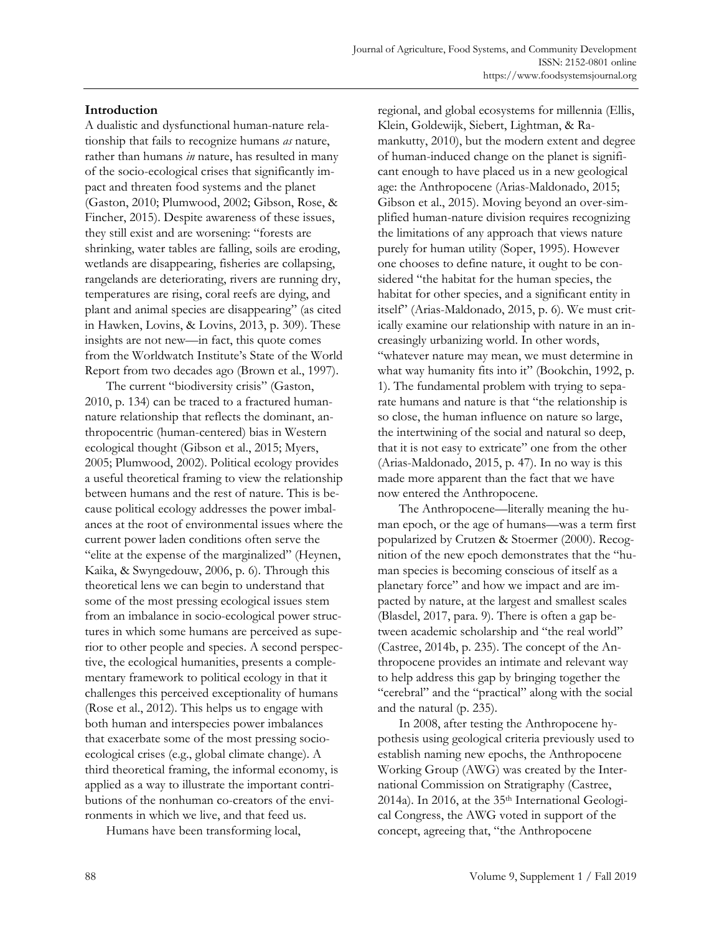#### **Introduction**

A dualistic and dysfunctional human-nature relationship that fails to recognize humans *as* nature, rather than humans *in* nature, has resulted in many of the socio-ecological crises that significantly impact and threaten food systems and the planet (Gaston, 2010; Plumwood, 2002; Gibson, Rose, & Fincher, 2015). Despite awareness of these issues, they still exist and are worsening: "forests are shrinking, water tables are falling, soils are eroding, wetlands are disappearing, fisheries are collapsing, rangelands are deteriorating, rivers are running dry, temperatures are rising, coral reefs are dying, and plant and animal species are disappearing" (as cited in Hawken, Lovins, & Lovins, 2013, p. 309). These insights are not new—in fact, this quote comes from the Worldwatch Institute's State of the World Report from two decades ago (Brown et al., 1997).

 The current "biodiversity crisis" (Gaston, 2010, p. 134) can be traced to a fractured humannature relationship that reflects the dominant, anthropocentric (human-centered) bias in Western ecological thought (Gibson et al., 2015; Myers, 2005; Plumwood, 2002). Political ecology provides a useful theoretical framing to view the relationship between humans and the rest of nature. This is because political ecology addresses the power imbalances at the root of environmental issues where the current power laden conditions often serve the "elite at the expense of the marginalized" (Heynen, Kaika, & Swyngedouw, 2006, p. 6). Through this theoretical lens we can begin to understand that some of the most pressing ecological issues stem from an imbalance in socio-ecological power structures in which some humans are perceived as superior to other people and species. A second perspective, the ecological humanities, presents a complementary framework to political ecology in that it challenges this perceived exceptionality of humans (Rose et al., 2012). This helps us to engage with both human and interspecies power imbalances that exacerbate some of the most pressing socioecological crises (e.g., global climate change). A third theoretical framing, the informal economy, is applied as a way to illustrate the important contributions of the nonhuman co-creators of the environments in which we live, and that feed us.

Humans have been transforming local,

regional, and global ecosystems for millennia (Ellis, Klein, Goldewijk, Siebert, Lightman, & Ramankutty, 2010), but the modern extent and degree of human-induced change on the planet is significant enough to have placed us in a new geological age: the Anthropocene (Arias-Maldonado, 2015; Gibson et al., 2015). Moving beyond an over-simplified human-nature division requires recognizing the limitations of any approach that views nature purely for human utility (Soper, 1995). However one chooses to define nature, it ought to be considered "the habitat for the human species, the habitat for other species, and a significant entity in itself" (Arias-Maldonado, 2015, p. 6). We must critically examine our relationship with nature in an increasingly urbanizing world. In other words, "whatever nature may mean, we must determine in what way humanity fits into it" (Bookchin, 1992, p. 1). The fundamental problem with trying to separate humans and nature is that "the relationship is so close, the human influence on nature so large, the intertwining of the social and natural so deep, that it is not easy to extricate" one from the other (Arias-Maldonado, 2015, p. 47). In no way is this made more apparent than the fact that we have now entered the Anthropocene.

 The Anthropocene—literally meaning the human epoch, or the age of humans—was a term first popularized by Crutzen & Stoermer (2000). Recognition of the new epoch demonstrates that the "human species is becoming conscious of itself as a planetary force" and how we impact and are impacted by nature, at the largest and smallest scales (Blasdel, 2017, para. 9). There is often a gap between academic scholarship and "the real world" (Castree, 2014b, p. 235). The concept of the Anthropocene provides an intimate and relevant way to help address this gap by bringing together the "cerebral" and the "practical" along with the social and the natural (p. 235).

 In 2008, after testing the Anthropocene hypothesis using geological criteria previously used to establish naming new epochs, the Anthropocene Working Group (AWG) was created by the International Commission on Stratigraphy (Castree, 2014a). In 2016, at the 35<sup>th</sup> International Geological Congress, the AWG voted in support of the concept, agreeing that, "the Anthropocene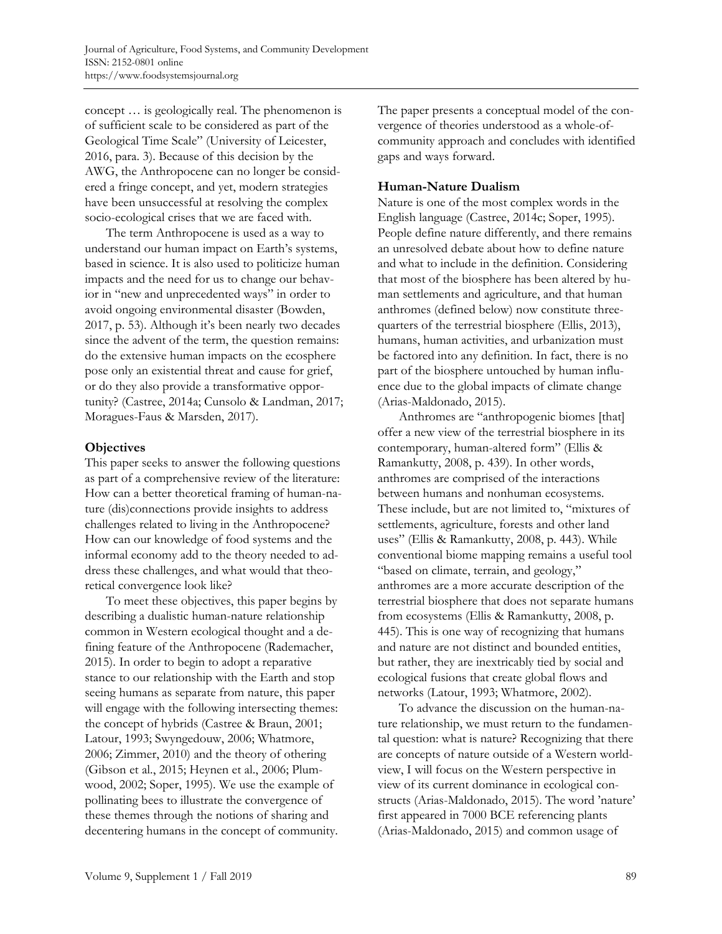concept … is geologically real. The phenomenon is of sufficient scale to be considered as part of the Geological Time Scale" (University of Leicester, 2016, para. 3). Because of this decision by the AWG, the Anthropocene can no longer be considered a fringe concept, and yet, modern strategies have been unsuccessful at resolving the complex socio-ecological crises that we are faced with.

 The term Anthropocene is used as a way to understand our human impact on Earth's systems, based in science. It is also used to politicize human impacts and the need for us to change our behavior in "new and unprecedented ways" in order to avoid ongoing environmental disaster (Bowden, 2017, p. 53). Although it's been nearly two decades since the advent of the term, the question remains: do the extensive human impacts on the ecosphere pose only an existential threat and cause for grief, or do they also provide a transformative opportunity? (Castree, 2014a; Cunsolo & Landman, 2017; Moragues-Faus & Marsden, 2017).

# **Objectives**

This paper seeks to answer the following questions as part of a comprehensive review of the literature: How can a better theoretical framing of human-nature (dis)connections provide insights to address challenges related to living in the Anthropocene? How can our knowledge of food systems and the informal economy add to the theory needed to address these challenges, and what would that theoretical convergence look like?

 To meet these objectives, this paper begins by describing a dualistic human-nature relationship common in Western ecological thought and a defining feature of the Anthropocene (Rademacher, 2015). In order to begin to adopt a reparative stance to our relationship with the Earth and stop seeing humans as separate from nature, this paper will engage with the following intersecting themes: the concept of hybrids (Castree & Braun, 2001; Latour, 1993; Swyngedouw, 2006; Whatmore, 2006; Zimmer, 2010) and the theory of othering (Gibson et al., 2015; Heynen et al., 2006; Plumwood, 2002; Soper, 1995). We use the example of pollinating bees to illustrate the convergence of these themes through the notions of sharing and decentering humans in the concept of community. The paper presents a conceptual model of the convergence of theories understood as a whole-ofcommunity approach and concludes with identified gaps and ways forward.

# **Human-Nature Dualism**

Nature is one of the most complex words in the English language (Castree, 2014c; Soper, 1995). People define nature differently, and there remains an unresolved debate about how to define nature and what to include in the definition. Considering that most of the biosphere has been altered by human settlements and agriculture, and that human anthromes (defined below) now constitute threequarters of the terrestrial biosphere (Ellis, 2013), humans, human activities, and urbanization must be factored into any definition. In fact, there is no part of the biosphere untouched by human influence due to the global impacts of climate change (Arias-Maldonado, 2015).

 Anthromes are "anthropogenic biomes [that] offer a new view of the terrestrial biosphere in its contemporary, human-altered form" (Ellis & Ramankutty, 2008, p. 439). In other words, anthromes are comprised of the interactions between humans and nonhuman ecosystems. These include, but are not limited to, "mixtures of settlements, agriculture, forests and other land uses" (Ellis & Ramankutty, 2008, p. 443). While conventional biome mapping remains a useful tool "based on climate, terrain, and geology," anthromes are a more accurate description of the terrestrial biosphere that does not separate humans from ecosystems (Ellis & Ramankutty, 2008, p. 445). This is one way of recognizing that humans and nature are not distinct and bounded entities, but rather, they are inextricably tied by social and ecological fusions that create global flows and networks (Latour, 1993; Whatmore, 2002).

 To advance the discussion on the human-nature relationship, we must return to the fundamental question: what is nature? Recognizing that there are concepts of nature outside of a Western worldview, I will focus on the Western perspective in view of its current dominance in ecological constructs (Arias-Maldonado, 2015). The word 'nature' first appeared in 7000 BCE referencing plants (Arias-Maldonado, 2015) and common usage of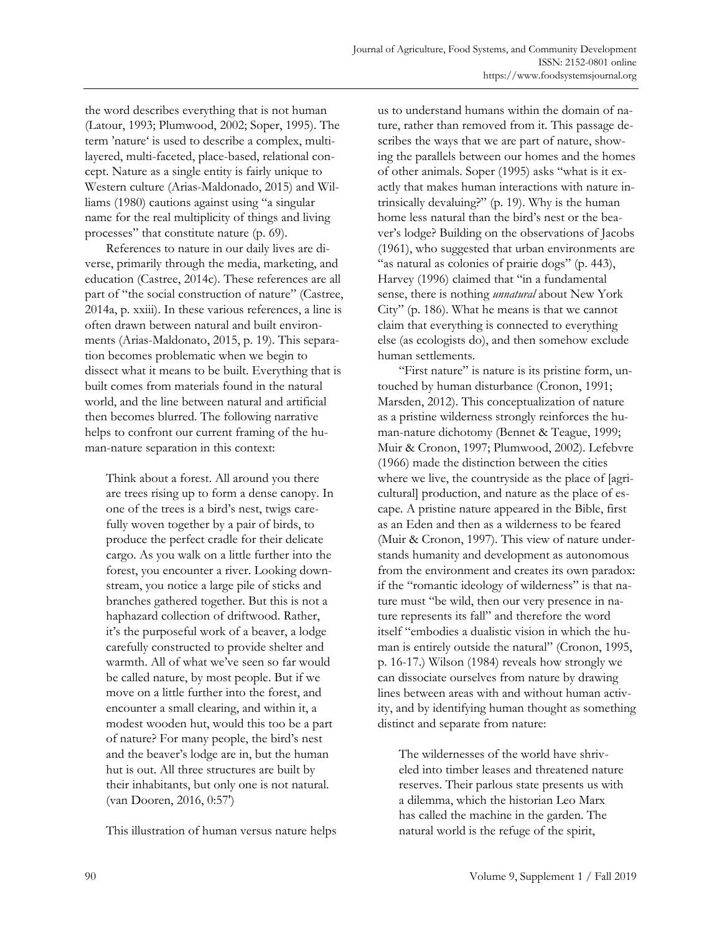the word describes everything that is not human (Latour, 1993; Plumwood, 2002; Soper, 1995). The term 'nature' is used to describe a complex, multilayered, multi-faceted, place-based, relational concept. Nature as a single entity is fairly unique to Western culture (Arias-Maldonado, 2015) and Williams (1980) cautions against using "a singular name for the real multiplicity of things and living processes" that constitute nature (p. 69).

 References to nature in our daily lives are diverse, primarily through the media, marketing, and education (Castree, 2014c). These references are all part of "the social construction of nature" (Castree, 2014a, p. xxiii). In these various references, a line is often drawn between natural and built environments (Arias-Maldonato, 2015, p. 19). This separation becomes problematic when we begin to dissect what it means to be built. Everything that is built comes from materials found in the natural world, and the line between natural and artificial then becomes blurred. The following narrative helps to confront our current framing of the human-nature separation in this context:

Think about a forest. All around you there are trees rising up to form a dense canopy. In one of the trees is a bird's nest, twigs carefully woven together by a pair of birds, to produce the perfect cradle for their delicate cargo. As you walk on a little further into the forest, you encounter a river. Looking downstream, you notice a large pile of sticks and branches gathered together. But this is not a haphazard collection of driftwood. Rather, it's the purposeful work of a beaver, a lodge carefully constructed to provide shelter and warmth. All of what we've seen so far would be called nature, by most people. But if we move on a little further into the forest, and encounter a small clearing, and within it, a modest wooden hut, would this too be a part of nature? For many people, the bird's nest and the beaver's lodge are in, but the human hut is out. All three structures are built by their inhabitants, but only one is not natural. (van Dooren, 2016, 0:57')

This illustration of human versus nature helps

us to understand humans within the domain of nature, rather than removed from it. This passage describes the ways that we are part of nature, showing the parallels between our homes and the homes of other animals. Soper (1995) asks "what is it exactly that makes human interactions with nature intrinsically devaluing?" (p. 19). Why is the human home less natural than the bird's nest or the beaver's lodge? Building on the observations of Jacobs (1961), who suggested that urban environments are "as natural as colonies of prairie dogs" (p. 443), Harvey (1996) claimed that "in a fundamental sense, there is nothing *unnatural* about New York City" (p. 186). What he means is that we cannot claim that everything is connected to everything else (as ecologists do), and then somehow exclude human settlements.

 "First nature" is nature is its pristine form, untouched by human disturbance (Cronon, 1991; Marsden, 2012). This conceptualization of nature as a pristine wilderness strongly reinforces the human-nature dichotomy (Bennet & Teague, 1999; Muir & Cronon, 1997; Plumwood, 2002). Lefebvre (1966) made the distinction between the cities where we live, the countryside as the place of [agricultural] production, and nature as the place of escape. A pristine nature appeared in the Bible, first as an Eden and then as a wilderness to be feared (Muir & Cronon, 1997). This view of nature understands humanity and development as autonomous from the environment and creates its own paradox: if the "romantic ideology of wilderness" is that nature must "be wild, then our very presence in nature represents its fall" and therefore the word itself "embodies a dualistic vision in which the human is entirely outside the natural" (Cronon, 1995, p. 16-17.) Wilson (1984) reveals how strongly we can dissociate ourselves from nature by drawing lines between areas with and without human activity, and by identifying human thought as something distinct and separate from nature:

The wildernesses of the world have shriveled into timber leases and threatened nature reserves. Their parlous state presents us with a dilemma, which the historian Leo Marx has called the machine in the garden. The natural world is the refuge of the spirit,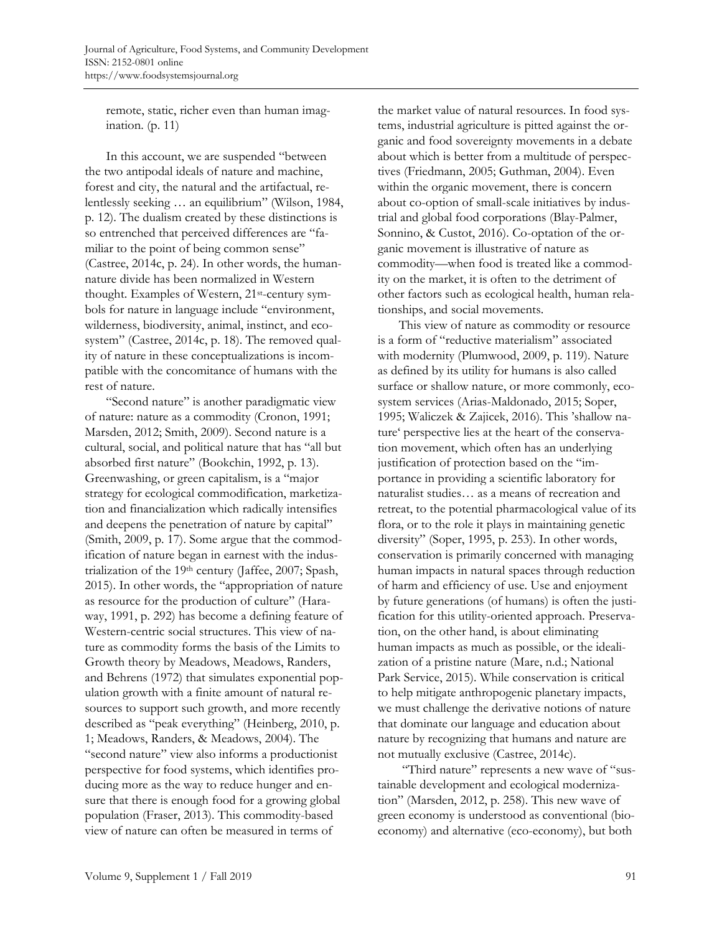remote, static, richer even than human imagination. (p. 11)

 In this account, we are suspended "between the two antipodal ideals of nature and machine, forest and city, the natural and the artifactual, relentlessly seeking … an equilibrium" (Wilson, 1984, p. 12). The dualism created by these distinctions is so entrenched that perceived differences are "familiar to the point of being common sense" (Castree, 2014c, p. 24). In other words, the humannature divide has been normalized in Western thought. Examples of Western, 21st-century symbols for nature in language include "environment, wilderness, biodiversity, animal, instinct, and ecosystem" (Castree, 2014c, p. 18). The removed quality of nature in these conceptualizations is incompatible with the concomitance of humans with the rest of nature.

"Second nature" is another paradigmatic view of nature: nature as a commodity (Cronon, 1991; Marsden, 2012; Smith, 2009). Second nature is a cultural, social, and political nature that has "all but absorbed first nature" (Bookchin, 1992, p. 13). Greenwashing, or green capitalism, is a "major strategy for ecological commodification, marketization and financialization which radically intensifies and deepens the penetration of nature by capital" (Smith, 2009, p. 17). Some argue that the commodification of nature began in earnest with the industrialization of the 19<sup>th</sup> century (Jaffee, 2007; Spash, 2015). In other words, the "appropriation of nature as resource for the production of culture" (Haraway, 1991, p. 292) has become a defining feature of Western-centric social structures. This view of nature as commodity forms the basis of the Limits to Growth theory by Meadows, Meadows, Randers, and Behrens (1972) that simulates exponential population growth with a finite amount of natural resources to support such growth, and more recently described as "peak everything" (Heinberg, 2010, p. 1; Meadows, Randers, & Meadows, 2004). The "second nature" view also informs a productionist perspective for food systems, which identifies producing more as the way to reduce hunger and ensure that there is enough food for a growing global population (Fraser, 2013). This commodity-based view of nature can often be measured in terms of

the market value of natural resources. In food systems, industrial agriculture is pitted against the organic and food sovereignty movements in a debate about which is better from a multitude of perspectives (Friedmann, 2005; Guthman, 2004). Even within the organic movement, there is concern about co-option of small-scale initiatives by industrial and global food corporations (Blay-Palmer, Sonnino, & Custot, 2016). Co-optation of the organic movement is illustrative of nature as commodity—when food is treated like a commodity on the market, it is often to the detriment of other factors such as ecological health, human relationships, and social movements.

 This view of nature as commodity or resource is a form of "reductive materialism" associated with modernity (Plumwood, 2009, p. 119). Nature as defined by its utility for humans is also called surface or shallow nature, or more commonly, ecosystem services (Arias-Maldonado, 2015; Soper, 1995; Waliczek & Zajicek, 2016). This 'shallow nature' perspective lies at the heart of the conservation movement, which often has an underlying justification of protection based on the "importance in providing a scientific laboratory for naturalist studies… as a means of recreation and retreat, to the potential pharmacological value of its flora, or to the role it plays in maintaining genetic diversity" (Soper, 1995, p. 253). In other words, conservation is primarily concerned with managing human impacts in natural spaces through reduction of harm and efficiency of use. Use and enjoyment by future generations (of humans) is often the justification for this utility-oriented approach. Preservation, on the other hand, is about eliminating human impacts as much as possible, or the idealization of a pristine nature (Mare, n.d.; National Park Service, 2015). While conservation is critical to help mitigate anthropogenic planetary impacts, we must challenge the derivative notions of nature that dominate our language and education about nature by recognizing that humans and nature are not mutually exclusive (Castree, 2014c).

 "Third nature" represents a new wave of "sustainable development and ecological modernization" (Marsden, 2012, p. 258). This new wave of green economy is understood as conventional (bioeconomy) and alternative (eco-economy), but both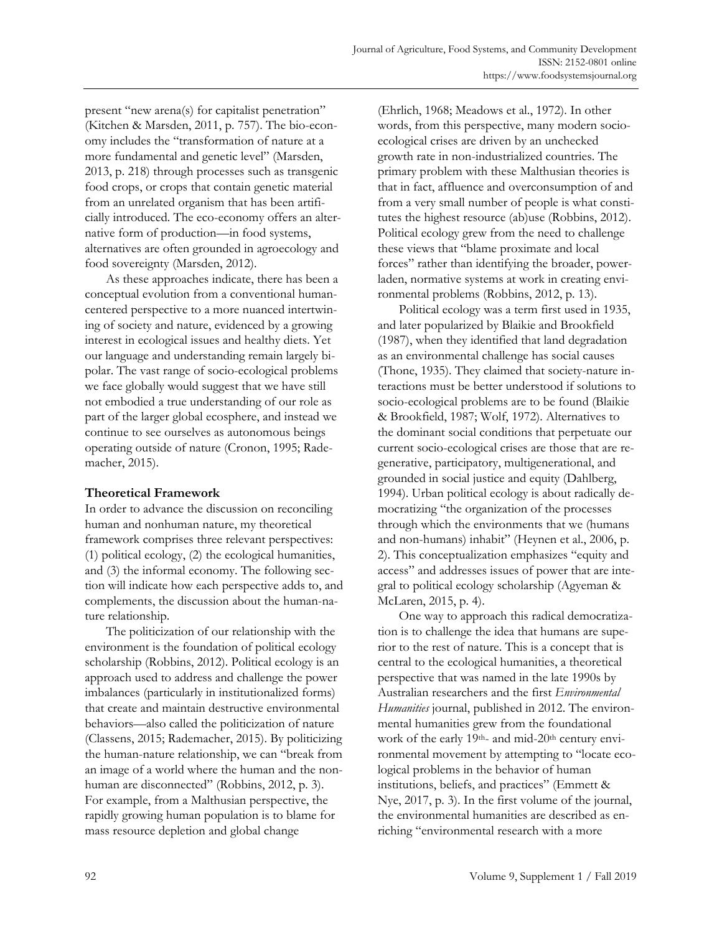present "new arena(s) for capitalist penetration" (Kitchen & Marsden, 2011, p. 757). The bio-economy includes the "transformation of nature at a more fundamental and genetic level" (Marsden, 2013, p. 218) through processes such as transgenic food crops, or crops that contain genetic material from an unrelated organism that has been artificially introduced. The eco-economy offers an alternative form of production—in food systems, alternatives are often grounded in agroecology and food sovereignty (Marsden, 2012).

 As these approaches indicate, there has been a conceptual evolution from a conventional humancentered perspective to a more nuanced intertwining of society and nature, evidenced by a growing interest in ecological issues and healthy diets. Yet our language and understanding remain largely bipolar. The vast range of socio-ecological problems we face globally would suggest that we have still not embodied a true understanding of our role as part of the larger global ecosphere, and instead we continue to see ourselves as autonomous beings operating outside of nature (Cronon, 1995; Rademacher, 2015).

# **Theoretical Framework**

In order to advance the discussion on reconciling human and nonhuman nature, my theoretical framework comprises three relevant perspectives: (1) political ecology, (2) the ecological humanities, and (3) the informal economy. The following section will indicate how each perspective adds to, and complements, the discussion about the human-nature relationship.

 The politicization of our relationship with the environment is the foundation of political ecology scholarship (Robbins, 2012). Political ecology is an approach used to address and challenge the power imbalances (particularly in institutionalized forms) that create and maintain destructive environmental behaviors—also called the politicization of nature (Classens, 2015; Rademacher, 2015). By politicizing the human-nature relationship, we can "break from an image of a world where the human and the nonhuman are disconnected" (Robbins, 2012, p. 3). For example, from a Malthusian perspective, the rapidly growing human population is to blame for mass resource depletion and global change

(Ehrlich, 1968; Meadows et al., 1972). In other words, from this perspective, many modern socioecological crises are driven by an unchecked growth rate in non-industrialized countries. The primary problem with these Malthusian theories is that in fact, affluence and overconsumption of and from a very small number of people is what constitutes the highest resource (ab)use (Robbins, 2012). Political ecology grew from the need to challenge these views that "blame proximate and local forces" rather than identifying the broader, powerladen, normative systems at work in creating environmental problems (Robbins, 2012, p. 13).

 Political ecology was a term first used in 1935, and later popularized by Blaikie and Brookfield (1987), when they identified that land degradation as an environmental challenge has social causes (Thone, 1935). They claimed that society-nature interactions must be better understood if solutions to socio-ecological problems are to be found (Blaikie & Brookfield, 1987; Wolf, 1972). Alternatives to the dominant social conditions that perpetuate our current socio-ecological crises are those that are regenerative, participatory, multigenerational, and grounded in social justice and equity (Dahlberg, 1994). Urban political ecology is about radically democratizing "the organization of the processes through which the environments that we (humans and non-humans) inhabit" (Heynen et al., 2006, p. 2). This conceptualization emphasizes "equity and access" and addresses issues of power that are integral to political ecology scholarship (Agyeman & McLaren, 2015, p. 4).

 One way to approach this radical democratization is to challenge the idea that humans are superior to the rest of nature. This is a concept that is central to the ecological humanities, a theoretical perspective that was named in the late 1990s by Australian researchers and the first *Environmental Humanities* journal, published in 2012. The environmental humanities grew from the foundational work of the early 19<sup>th</sup>- and mid-20<sup>th</sup> century environmental movement by attempting to "locate ecological problems in the behavior of human institutions, beliefs, and practices" (Emmett & Nye, 2017, p. 3). In the first volume of the journal, the environmental humanities are described as enriching "environmental research with a more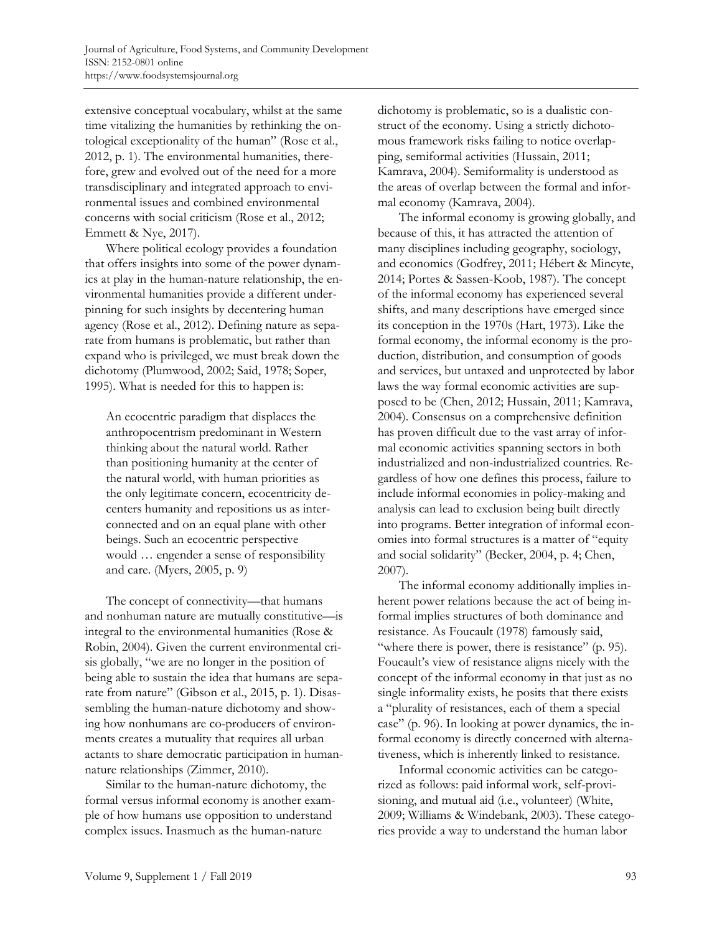extensive conceptual vocabulary, whilst at the same time vitalizing the humanities by rethinking the ontological exceptionality of the human" (Rose et al., 2012, p. 1). The environmental humanities, therefore, grew and evolved out of the need for a more transdisciplinary and integrated approach to environmental issues and combined environmental concerns with social criticism (Rose et al., 2012; Emmett & Nye, 2017).

 Where political ecology provides a foundation that offers insights into some of the power dynamics at play in the human-nature relationship, the environmental humanities provide a different underpinning for such insights by decentering human agency (Rose et al., 2012). Defining nature as separate from humans is problematic, but rather than expand who is privileged, we must break down the dichotomy (Plumwood, 2002; Said, 1978; Soper, 1995). What is needed for this to happen is:

An ecocentric paradigm that displaces the anthropocentrism predominant in Western thinking about the natural world. Rather than positioning humanity at the center of the natural world, with human priorities as the only legitimate concern, ecocentricity decenters humanity and repositions us as interconnected and on an equal plane with other beings. Such an ecocentric perspective would … engender a sense of responsibility and care. (Myers, 2005, p. 9)

 The concept of connectivity—that humans and nonhuman nature are mutually constitutive—is integral to the environmental humanities (Rose & Robin, 2004). Given the current environmental crisis globally, "we are no longer in the position of being able to sustain the idea that humans are separate from nature" (Gibson et al., 2015, p. 1). Disassembling the human-nature dichotomy and showing how nonhumans are co-producers of environments creates a mutuality that requires all urban actants to share democratic participation in humannature relationships (Zimmer, 2010).

 Similar to the human-nature dichotomy, the formal versus informal economy is another example of how humans use opposition to understand complex issues. Inasmuch as the human-nature

dichotomy is problematic, so is a dualistic construct of the economy. Using a strictly dichotomous framework risks failing to notice overlapping, semiformal activities (Hussain, 2011; Kamrava, 2004). Semiformality is understood as the areas of overlap between the formal and informal economy (Kamrava, 2004).

 The informal economy is growing globally, and because of this, it has attracted the attention of many disciplines including geography, sociology, and economics (Godfrey, 2011; Hébert & Mincyte, 2014; Portes & Sassen-Koob, 1987). The concept of the informal economy has experienced several shifts, and many descriptions have emerged since its conception in the 1970s (Hart, 1973). Like the formal economy, the informal economy is the production, distribution, and consumption of goods and services, but untaxed and unprotected by labor laws the way formal economic activities are supposed to be (Chen, 2012; Hussain, 2011; Kamrava, 2004). Consensus on a comprehensive definition has proven difficult due to the vast array of informal economic activities spanning sectors in both industrialized and non-industrialized countries. Regardless of how one defines this process, failure to include informal economies in policy-making and analysis can lead to exclusion being built directly into programs. Better integration of informal economies into formal structures is a matter of "equity and social solidarity" (Becker, 2004, p. 4; Chen, 2007).

 The informal economy additionally implies inherent power relations because the act of being informal implies structures of both dominance and resistance. As Foucault (1978) famously said, "where there is power, there is resistance" (p. 95). Foucault's view of resistance aligns nicely with the concept of the informal economy in that just as no single informality exists, he posits that there exists a "plurality of resistances, each of them a special case" (p. 96). In looking at power dynamics, the informal economy is directly concerned with alternativeness, which is inherently linked to resistance.

 Informal economic activities can be categorized as follows: paid informal work, self-provisioning, and mutual aid (i.e., volunteer) (White, 2009; Williams & Windebank, 2003). These categories provide a way to understand the human labor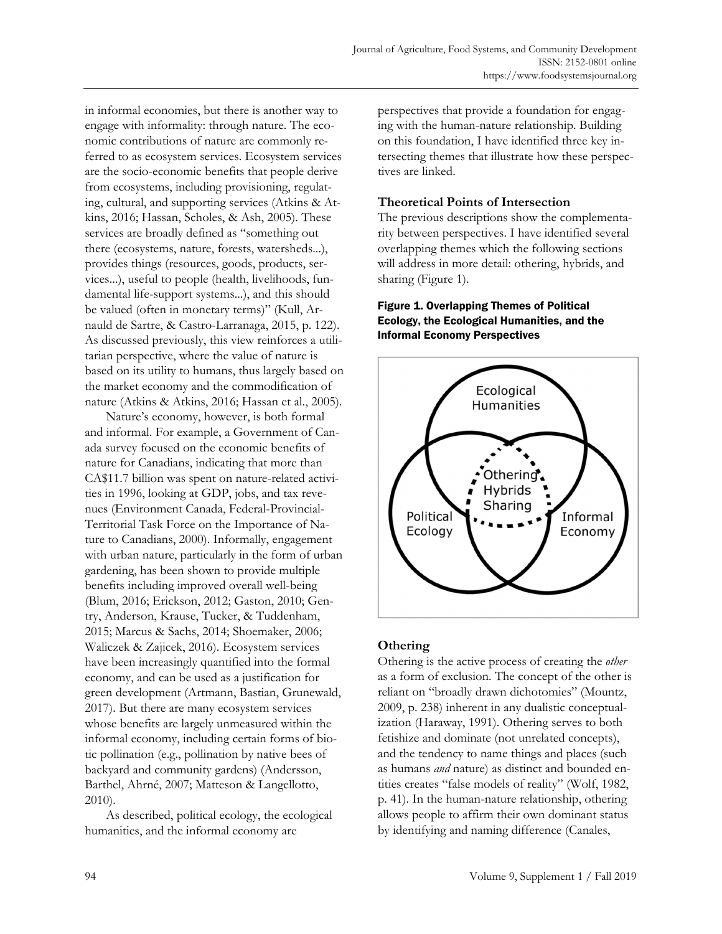in informal economies, but there is another way to engage with informality: through nature. The economic contributions of nature are commonly referred to as ecosystem services. Ecosystem services are the socio-economic benefits that people derive from ecosystems, including provisioning, regulating, cultural, and supporting services (Atkins & Atkins, 2016; Hassan, Scholes, & Ash, 2005). These services are broadly defined as "something out there (ecosystems, nature, forests, watersheds...), provides things (resources, goods, products, services...), useful to people (health, livelihoods, fundamental life-support systems...), and this should be valued (often in monetary terms)" (Kull, Arnauld de Sartre, & Castro-Larranaga, 2015, p. 122). As discussed previously, this view reinforces a utilitarian perspective, where the value of nature is based on its utility to humans, thus largely based on the market economy and the commodification of nature (Atkins & Atkins, 2016; Hassan et al., 2005).

 Nature's economy, however, is both formal and informal. For example, a Government of Canada survey focused on the economic benefits of nature for Canadians, indicating that more than CA\$11.7 billion was spent on nature-related activities in 1996, looking at GDP, jobs, and tax revenues (Environment Canada, Federal-Provincial-Territorial Task Force on the Importance of Nature to Canadians, 2000). Informally, engagement with urban nature, particularly in the form of urban gardening, has been shown to provide multiple benefits including improved overall well-being (Blum, 2016; Erickson, 2012; Gaston, 2010; Gentry, Anderson, Krause, Tucker, & Tuddenham, 2015; Marcus & Sachs, 2014; Shoemaker, 2006; Waliczek & Zajicek, 2016). Ecosystem services have been increasingly quantified into the formal economy, and can be used as a justification for green development (Artmann, Bastian, Grunewald, 2017). But there are many ecosystem services whose benefits are largely unmeasured within the informal economy, including certain forms of biotic pollination (e.g., pollination by native bees of backyard and community gardens) (Andersson, Barthel, Ahrné, 2007; Matteson & Langellotto, 2010).

 As described, political ecology, the ecological humanities, and the informal economy are

perspectives that provide a foundation for engaging with the human-nature relationship. Building on this foundation, I have identified three key intersecting themes that illustrate how these perspectives are linked.

# **Theoretical Points of Intersection**

The previous descriptions show the complementarity between perspectives. I have identified several overlapping themes which the following sections will address in more detail: othering, hybrids, and sharing (Figure 1).

### Figure 1. Overlapping Themes of Political Ecology, the Ecological Humanities, and the Informal Economy Perspectives



# **Othering**

Othering is the active process of creating the *other* as a form of exclusion. The concept of the other is reliant on "broadly drawn dichotomies" (Mountz, 2009, p. 238) inherent in any dualistic conceptualization (Haraway, 1991). Othering serves to both fetishize and dominate (not unrelated concepts), and the tendency to name things and places (such as humans *and* nature) as distinct and bounded entities creates "false models of reality" (Wolf, 1982, p. 41). In the human-nature relationship, othering allows people to affirm their own dominant status by identifying and naming difference (Canales,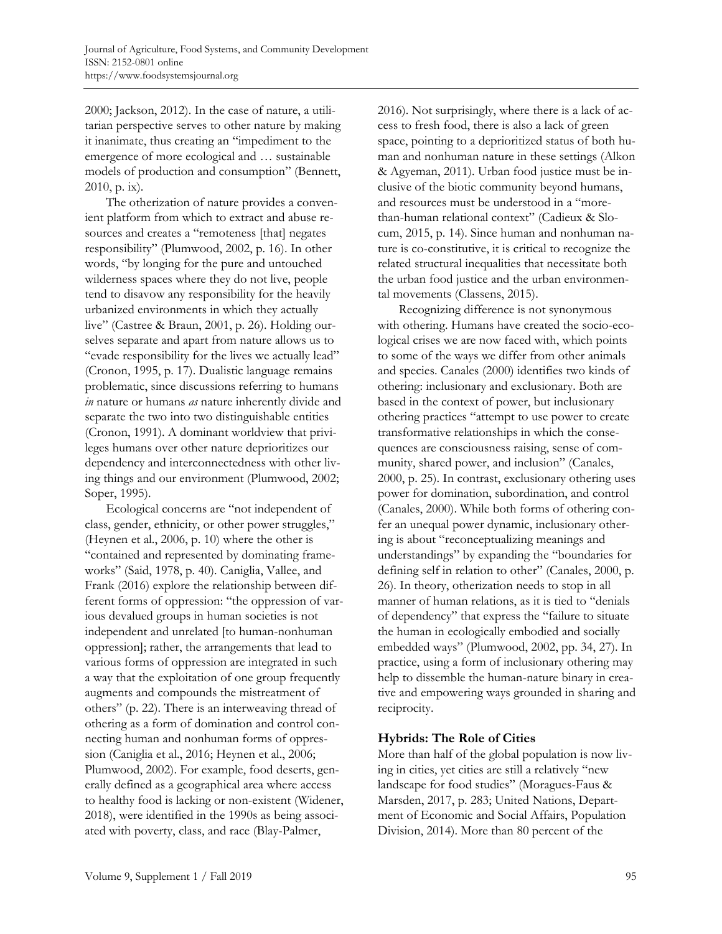2000; Jackson, 2012). In the case of nature, a utilitarian perspective serves to other nature by making it inanimate, thus creating an "impediment to the emergence of more ecological and … sustainable models of production and consumption" (Bennett, 2010, p. ix).

 The otherization of nature provides a convenient platform from which to extract and abuse resources and creates a "remoteness [that] negates responsibility" (Plumwood, 2002, p. 16). In other words, "by longing for the pure and untouched wilderness spaces where they do not live, people tend to disavow any responsibility for the heavily urbanized environments in which they actually live" (Castree & Braun, 2001, p. 26). Holding ourselves separate and apart from nature allows us to "evade responsibility for the lives we actually lead" (Cronon, 1995, p. 17). Dualistic language remains problematic, since discussions referring to humans *in* nature or humans *as* nature inherently divide and separate the two into two distinguishable entities (Cronon, 1991). A dominant worldview that privileges humans over other nature deprioritizes our dependency and interconnectedness with other living things and our environment (Plumwood, 2002; Soper, 1995).

 Ecological concerns are "not independent of class, gender, ethnicity, or other power struggles," (Heynen et al., 2006, p. 10) where the other is "contained and represented by dominating frameworks" (Said, 1978, p. 40). Caniglia, Vallee, and Frank (2016) explore the relationship between different forms of oppression: "the oppression of various devalued groups in human societies is not independent and unrelated [to human-nonhuman oppression]; rather, the arrangements that lead to various forms of oppression are integrated in such a way that the exploitation of one group frequently augments and compounds the mistreatment of others" (p. 22). There is an interweaving thread of othering as a form of domination and control connecting human and nonhuman forms of oppression (Caniglia et al., 2016; Heynen et al., 2006; Plumwood, 2002). For example, food deserts, generally defined as a geographical area where access to healthy food is lacking or non-existent (Widener, 2018), were identified in the 1990s as being associated with poverty, class, and race (Blay-Palmer,

2016). Not surprisingly, where there is a lack of access to fresh food, there is also a lack of green space, pointing to a deprioritized status of both human and nonhuman nature in these settings (Alkon & Agyeman, 2011). Urban food justice must be inclusive of the biotic community beyond humans, and resources must be understood in a "morethan-human relational context" (Cadieux & Slocum, 2015, p. 14). Since human and nonhuman nature is co-constitutive, it is critical to recognize the related structural inequalities that necessitate both the urban food justice and the urban environmental movements (Classens, 2015).

 Recognizing difference is not synonymous with othering. Humans have created the socio-ecological crises we are now faced with, which points to some of the ways we differ from other animals and species. Canales (2000) identifies two kinds of othering: inclusionary and exclusionary. Both are based in the context of power, but inclusionary othering practices "attempt to use power to create transformative relationships in which the consequences are consciousness raising, sense of community, shared power, and inclusion" (Canales, 2000, p. 25). In contrast, exclusionary othering uses power for domination, subordination, and control (Canales, 2000). While both forms of othering confer an unequal power dynamic, inclusionary othering is about "reconceptualizing meanings and understandings" by expanding the "boundaries for defining self in relation to other" (Canales, 2000, p. 26). In theory, otherization needs to stop in all manner of human relations, as it is tied to "denials of dependency" that express the "failure to situate the human in ecologically embodied and socially embedded ways" (Plumwood, 2002, pp. 34, 27). In practice, using a form of inclusionary othering may help to dissemble the human-nature binary in creative and empowering ways grounded in sharing and reciprocity.

#### **Hybrids: The Role of Cities**

More than half of the global population is now living in cities, yet cities are still a relatively "new landscape for food studies" (Moragues-Faus & Marsden, 2017, p. 283; United Nations, Department of Economic and Social Affairs, Population Division, 2014). More than 80 percent of the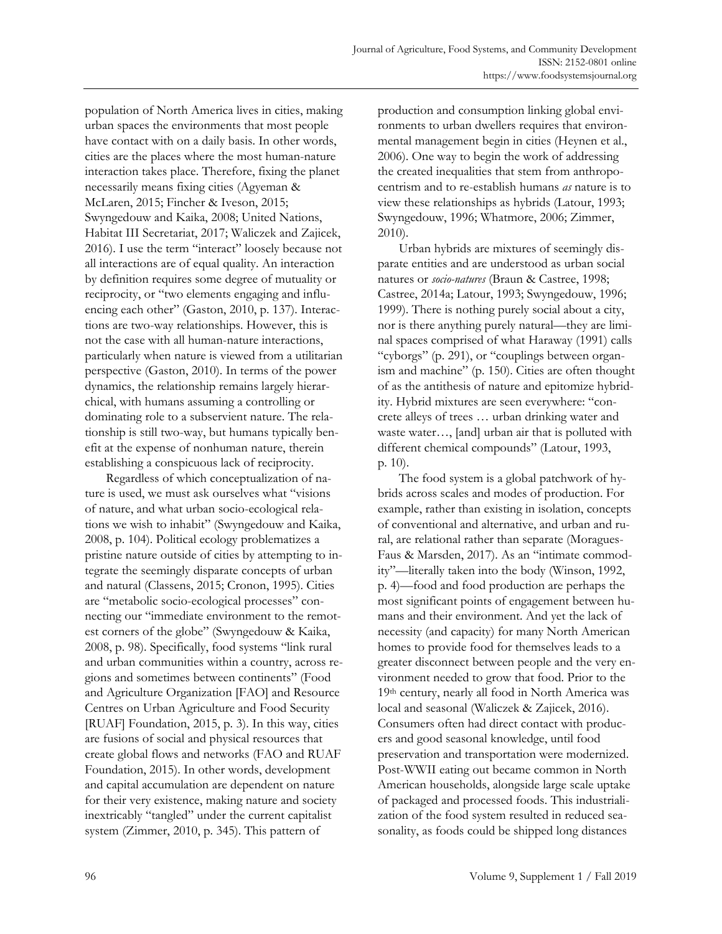population of North America lives in cities, making urban spaces the environments that most people have contact with on a daily basis. In other words, cities are the places where the most human-nature interaction takes place. Therefore, fixing the planet necessarily means fixing cities (Agyeman & McLaren, 2015; Fincher & Iveson, 2015; Swyngedouw and Kaika, 2008; United Nations, Habitat III Secretariat, 2017; Waliczek and Zajicek, 2016). I use the term "interact" loosely because not all interactions are of equal quality. An interaction by definition requires some degree of mutuality or reciprocity, or "two elements engaging and influencing each other" (Gaston, 2010, p. 137). Interactions are two-way relationships. However, this is not the case with all human-nature interactions, particularly when nature is viewed from a utilitarian perspective (Gaston, 2010). In terms of the power dynamics, the relationship remains largely hierarchical, with humans assuming a controlling or dominating role to a subservient nature. The relationship is still two-way, but humans typically benefit at the expense of nonhuman nature, therein establishing a conspicuous lack of reciprocity.

 Regardless of which conceptualization of nature is used, we must ask ourselves what "visions of nature, and what urban socio-ecological relations we wish to inhabit" (Swyngedouw and Kaika, 2008, p. 104). Political ecology problematizes a pristine nature outside of cities by attempting to integrate the seemingly disparate concepts of urban and natural (Classens, 2015; Cronon, 1995). Cities are "metabolic socio-ecological processes" connecting our "immediate environment to the remotest corners of the globe" (Swyngedouw & Kaika, 2008, p. 98). Specifically, food systems "link rural and urban communities within a country, across regions and sometimes between continents" (Food and Agriculture Organization [FAO] and Resource Centres on Urban Agriculture and Food Security [RUAF] Foundation, 2015, p. 3). In this way, cities are fusions of social and physical resources that create global flows and networks (FAO and RUAF Foundation, 2015). In other words, development and capital accumulation are dependent on nature for their very existence, making nature and society inextricably "tangled" under the current capitalist system (Zimmer, 2010, p. 345). This pattern of

production and consumption linking global environments to urban dwellers requires that environmental management begin in cities (Heynen et al., 2006). One way to begin the work of addressing the created inequalities that stem from anthropocentrism and to re-establish humans *as* nature is to view these relationships as hybrids (Latour, 1993; Swyngedouw, 1996; Whatmore, 2006; Zimmer, 2010).

 Urban hybrids are mixtures of seemingly disparate entities and are understood as urban social natures or *socio-natures* (Braun & Castree, 1998; Castree, 2014a; Latour, 1993; Swyngedouw, 1996; 1999). There is nothing purely social about a city, nor is there anything purely natural—they are liminal spaces comprised of what Haraway (1991) calls "cyborgs" (p. 291), or "couplings between organism and machine" (p. 150). Cities are often thought of as the antithesis of nature and epitomize hybridity. Hybrid mixtures are seen everywhere: "concrete alleys of trees … urban drinking water and waste water…, [and] urban air that is polluted with different chemical compounds" (Latour, 1993, p. 10).

 The food system is a global patchwork of hybrids across scales and modes of production. For example, rather than existing in isolation, concepts of conventional and alternative, and urban and rural, are relational rather than separate (Moragues-Faus & Marsden, 2017). As an "intimate commodity"—literally taken into the body (Winson, 1992, p. 4)—food and food production are perhaps the most significant points of engagement between humans and their environment. And yet the lack of necessity (and capacity) for many North American homes to provide food for themselves leads to a greater disconnect between people and the very environment needed to grow that food. Prior to the 19th century, nearly all food in North America was local and seasonal (Waliczek & Zajicek, 2016). Consumers often had direct contact with producers and good seasonal knowledge, until food preservation and transportation were modernized. Post-WWII eating out became common in North American households, alongside large scale uptake of packaged and processed foods. This industrialization of the food system resulted in reduced seasonality, as foods could be shipped long distances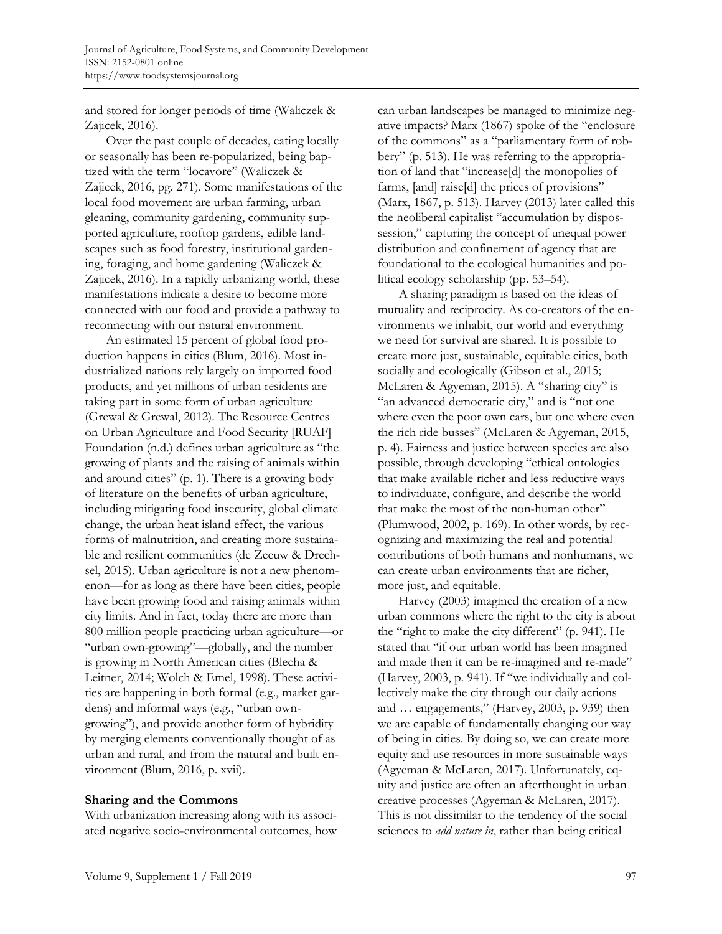and stored for longer periods of time (Waliczek & Zajicek, 2016).

 Over the past couple of decades, eating locally or seasonally has been re-popularized, being baptized with the term "locavore" (Waliczek & Zajicek, 2016, pg. 271). Some manifestations of the local food movement are urban farming, urban gleaning, community gardening, community supported agriculture, rooftop gardens, edible landscapes such as food forestry, institutional gardening, foraging, and home gardening (Waliczek & Zajicek, 2016). In a rapidly urbanizing world, these manifestations indicate a desire to become more connected with our food and provide a pathway to reconnecting with our natural environment.

An estimated 15 percent of global food production happens in cities (Blum, 2016). Most industrialized nations rely largely on imported food products, and yet millions of urban residents are taking part in some form of urban agriculture (Grewal & Grewal, 2012). The Resource Centres on Urban Agriculture and Food Security [RUAF] Foundation (n.d.) defines urban agriculture as "the growing of plants and the raising of animals within and around cities" (p. 1). There is a growing body of literature on the benefits of urban agriculture, including mitigating food insecurity, global climate change, the urban heat island effect, the various forms of malnutrition, and creating more sustainable and resilient communities (de Zeeuw & Drechsel, 2015). Urban agriculture is not a new phenomenon—for as long as there have been cities, people have been growing food and raising animals within city limits. And in fact, today there are more than 800 million people practicing urban agriculture—or "urban own-growing"—globally, and the number is growing in North American cities (Blecha & Leitner, 2014; Wolch & Emel, 1998). These activities are happening in both formal (e.g., market gardens) and informal ways (e.g., "urban owngrowing"), and provide another form of hybridity by merging elements conventionally thought of as urban and rural, and from the natural and built environment (Blum, 2016, p. xvii).

#### **Sharing and the Commons**

With urbanization increasing along with its associated negative socio-environmental outcomes, how can urban landscapes be managed to minimize negative impacts? Marx (1867) spoke of the "enclosure of the commons" as a "parliamentary form of robbery" (p. 513). He was referring to the appropriation of land that "increase[d] the monopolies of farms, [and] raise[d] the prices of provisions" (Marx, 1867, p. 513). Harvey (2013) later called this the neoliberal capitalist "accumulation by dispossession," capturing the concept of unequal power distribution and confinement of agency that are foundational to the ecological humanities and political ecology scholarship (pp. 53–54).

 A sharing paradigm is based on the ideas of mutuality and reciprocity. As co-creators of the environments we inhabit, our world and everything we need for survival are shared. It is possible to create more just, sustainable, equitable cities, both socially and ecologically (Gibson et al., 2015; McLaren & Agyeman, 2015). A "sharing city" is "an advanced democratic city," and is "not one where even the poor own cars, but one where even the rich ride busses" (McLaren & Agyeman, 2015, p. 4). Fairness and justice between species are also possible, through developing "ethical ontologies that make available richer and less reductive ways to individuate, configure, and describe the world that make the most of the non-human other" (Plumwood, 2002, p. 169). In other words, by recognizing and maximizing the real and potential contributions of both humans and nonhumans, we can create urban environments that are richer, more just, and equitable.

 Harvey (2003) imagined the creation of a new urban commons where the right to the city is about the "right to make the city different" (p. 941). He stated that "if our urban world has been imagined and made then it can be re-imagined and re-made" (Harvey, 2003, p. 941). If "we individually and collectively make the city through our daily actions and … engagements," (Harvey, 2003, p. 939) then we are capable of fundamentally changing our way of being in cities. By doing so, we can create more equity and use resources in more sustainable ways (Agyeman & McLaren, 2017). Unfortunately, equity and justice are often an afterthought in urban creative processes (Agyeman & McLaren, 2017). This is not dissimilar to the tendency of the social sciences to *add nature in*, rather than being critical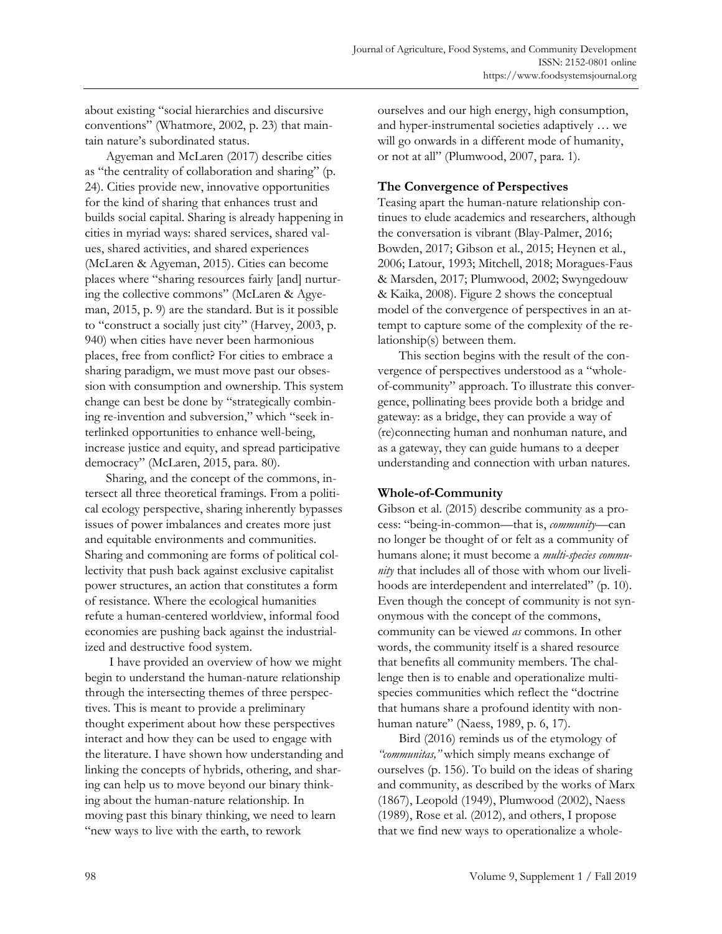about existing "social hierarchies and discursive conventions" (Whatmore, 2002, p. 23) that maintain nature's subordinated status.

 Agyeman and McLaren (2017) describe cities as "the centrality of collaboration and sharing" (p. 24). Cities provide new, innovative opportunities for the kind of sharing that enhances trust and builds social capital. Sharing is already happening in cities in myriad ways: shared services, shared values, shared activities, and shared experiences (McLaren & Agyeman, 2015). Cities can become places where "sharing resources fairly [and] nurturing the collective commons" (McLaren & Agyeman, 2015, p. 9) are the standard. But is it possible to "construct a socially just city" (Harvey, 2003, p. 940) when cities have never been harmonious places, free from conflict? For cities to embrace a sharing paradigm, we must move past our obsession with consumption and ownership. This system change can best be done by "strategically combining re-invention and subversion," which "seek interlinked opportunities to enhance well-being, increase justice and equity, and spread participative democracy" (McLaren, 2015, para. 80).

 Sharing, and the concept of the commons, intersect all three theoretical framings. From a political ecology perspective, sharing inherently bypasses issues of power imbalances and creates more just and equitable environments and communities. Sharing and commoning are forms of political collectivity that push back against exclusive capitalist power structures, an action that constitutes a form of resistance. Where the ecological humanities refute a human-centered worldview, informal food economies are pushing back against the industrialized and destructive food system.

 I have provided an overview of how we might begin to understand the human-nature relationship through the intersecting themes of three perspectives. This is meant to provide a preliminary thought experiment about how these perspectives interact and how they can be used to engage with the literature. I have shown how understanding and linking the concepts of hybrids, othering, and sharing can help us to move beyond our binary thinking about the human-nature relationship. In moving past this binary thinking, we need to learn "new ways to live with the earth, to rework

ourselves and our high energy, high consumption, and hyper-instrumental societies adaptively … we will go onwards in a different mode of humanity, or not at all" (Plumwood, 2007, para. 1).

### **The Convergence of Perspectives**

Teasing apart the human-nature relationship continues to elude academics and researchers, although the conversation is vibrant (Blay-Palmer, 2016; Bowden, 2017; Gibson et al., 2015; Heynen et al., 2006; Latour, 1993; Mitchell, 2018; Moragues-Faus & Marsden, 2017; Plumwood, 2002; Swyngedouw & Kaika, 2008). Figure 2 shows the conceptual model of the convergence of perspectives in an attempt to capture some of the complexity of the relationship(s) between them.

 This section begins with the result of the convergence of perspectives understood as a "wholeof-community" approach. To illustrate this convergence, pollinating bees provide both a bridge and gateway: as a bridge, they can provide a way of (re)connecting human and nonhuman nature, and as a gateway, they can guide humans to a deeper understanding and connection with urban natures.

# **Whole-of-Community**

Gibson et al. (2015) describe community as a process: "being-in-common—that is, *community*—can no longer be thought of or felt as a community of humans alone; it must become a *multi-species community* that includes all of those with whom our livelihoods are interdependent and interrelated" (p. 10). Even though the concept of community is not synonymous with the concept of the commons, community can be viewed *as* commons. In other words, the community itself is a shared resource that benefits all community members. The challenge then is to enable and operationalize multispecies communities which reflect the "doctrine that humans share a profound identity with nonhuman nature" (Naess, 1989, p. 6, 17).

 Bird (2016) reminds us of the etymology of *"communitas,"* which simply means exchange of ourselves (p. 156). To build on the ideas of sharing and community, as described by the works of Marx (1867), Leopold (1949), Plumwood (2002), Naess (1989), Rose et al. (2012), and others, I propose that we find new ways to operationalize a whole-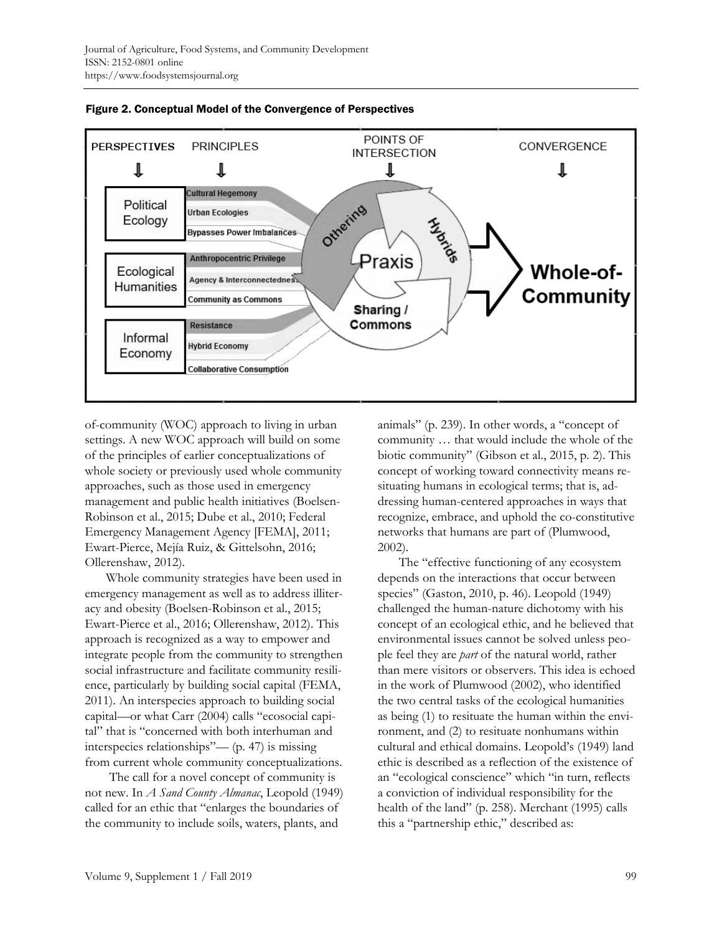



of-community (WOC) approach to living in urban settings. A new WOC approach will build on some of the principles of earlier conceptualizations of whole society or previously used whole community approaches, such as those used in emergency management and public health initiatives (Boelsen-Robinson et al., 2015; Dube et al., 2010; Federal Emergency Management Agency [FEMA], 2011; Ewart-Pierce, Mejía Ruiz, & Gittelsohn, 2016; Ollerenshaw, 2012).

 Whole community strategies have been used in emergency management as well as to address illiteracy and obesity (Boelsen-Robinson et al., 2015; Ewart-Pierce et al., 2016; Ollerenshaw, 2012). This approach is recognized as a way to empower and integrate people from the community to strengthen social infrastructure and facilitate community resilience, particularly by building social capital (FEMA, 2011). An interspecies approach to building social capital—or what Carr (2004) calls "ecosocial capital" that is "concerned with both interhuman and interspecies relationships"— (p. 47) is missing from current whole community conceptualizations.

 The call for a novel concept of community is not new. In *A Sand County Almanac*, Leopold (1949) called for an ethic that "enlarges the boundaries of the community to include soils, waters, plants, and

animals" (p. 239). In other words, a "concept of community … that would include the whole of the biotic community" (Gibson et al., 2015, p. 2). This concept of working toward connectivity means resituating humans in ecological terms; that is, addressing human-centered approaches in ways that recognize, embrace, and uphold the co-constitutive networks that humans are part of (Plumwood, 2002).

 The "effective functioning of any ecosystem depends on the interactions that occur between species" (Gaston, 2010, p. 46). Leopold (1949) challenged the human-nature dichotomy with his concept of an ecological ethic, and he believed that environmental issues cannot be solved unless people feel they are *part* of the natural world, rather than mere visitors or observers. This idea is echoed in the work of Plumwood (2002), who identified the two central tasks of the ecological humanities as being (1) to resituate the human within the environment, and (2) to resituate nonhumans within cultural and ethical domains. Leopold's (1949) land ethic is described as a reflection of the existence of an "ecological conscience" which "in turn, reflects a conviction of individual responsibility for the health of the land" (p. 258). Merchant (1995) calls this a "partnership ethic," described as: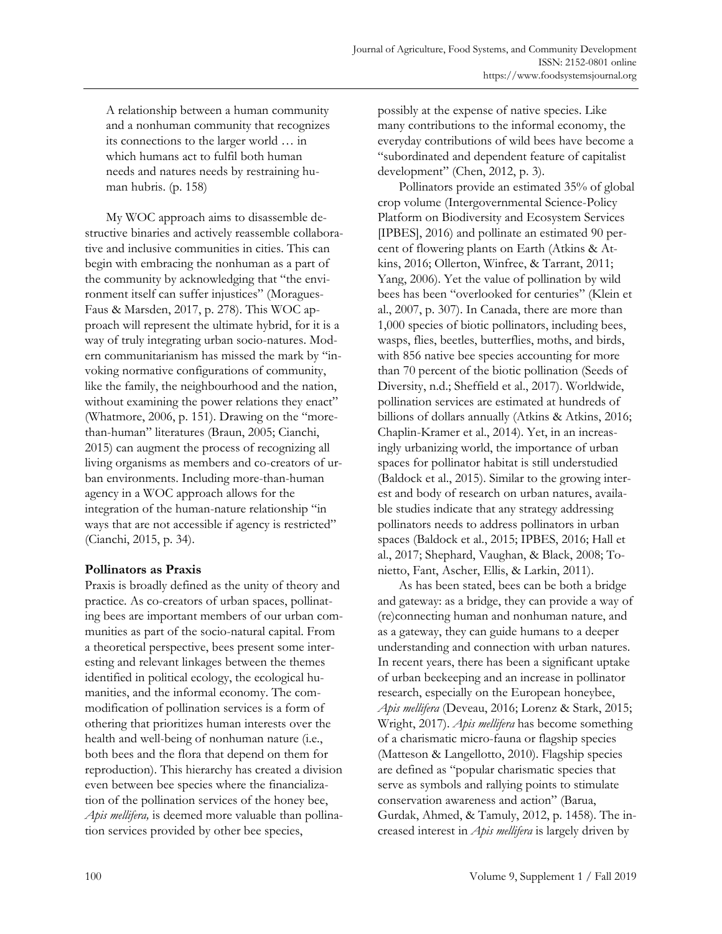A relationship between a human community and a nonhuman community that recognizes its connections to the larger world … in which humans act to fulfil both human needs and natures needs by restraining human hubris. (p. 158)

 My WOC approach aims to disassemble destructive binaries and actively reassemble collaborative and inclusive communities in cities. This can begin with embracing the nonhuman as a part of the community by acknowledging that "the environment itself can suffer injustices" (Moragues-Faus & Marsden, 2017, p. 278). This WOC approach will represent the ultimate hybrid, for it is a way of truly integrating urban socio-natures. Modern communitarianism has missed the mark by "invoking normative configurations of community, like the family, the neighbourhood and the nation, without examining the power relations they enact" (Whatmore, 2006, p. 151). Drawing on the "morethan-human" literatures (Braun, 2005; Cianchi, 2015) can augment the process of recognizing all living organisms as members and co-creators of urban environments. Including more-than-human agency in a WOC approach allows for the integration of the human-nature relationship "in ways that are not accessible if agency is restricted" (Cianchi, 2015, p. 34).

#### **Pollinators as Praxis**

Praxis is broadly defined as the unity of theory and practice. As co-creators of urban spaces, pollinating bees are important members of our urban communities as part of the socio-natural capital. From a theoretical perspective, bees present some interesting and relevant linkages between the themes identified in political ecology, the ecological humanities, and the informal economy. The commodification of pollination services is a form of othering that prioritizes human interests over the health and well-being of nonhuman nature (i.e., both bees and the flora that depend on them for reproduction). This hierarchy has created a division even between bee species where the financialization of the pollination services of the honey bee, *Apis mellifera,* is deemed more valuable than pollination services provided by other bee species,

possibly at the expense of native species. Like many contributions to the informal economy, the everyday contributions of wild bees have become a "subordinated and dependent feature of capitalist development" (Chen, 2012, p. 3).

 Pollinators provide an estimated 35% of global crop volume (Intergovernmental Science-Policy Platform on Biodiversity and Ecosystem Services [IPBES], 2016) and pollinate an estimated 90 percent of flowering plants on Earth (Atkins & Atkins, 2016; Ollerton, Winfree, & Tarrant, 2011; Yang, 2006). Yet the value of pollination by wild bees has been "overlooked for centuries" (Klein et al., 2007, p. 307). In Canada, there are more than 1,000 species of biotic pollinators, including bees, wasps, flies, beetles, butterflies, moths, and birds, with 856 native bee species accounting for more than 70 percent of the biotic pollination (Seeds of Diversity, n.d.; Sheffield et al., 2017). Worldwide, pollination services are estimated at hundreds of billions of dollars annually (Atkins & Atkins, 2016; Chaplin-Kramer et al., 2014). Yet, in an increasingly urbanizing world, the importance of urban spaces for pollinator habitat is still understudied (Baldock et al., 2015). Similar to the growing interest and body of research on urban natures, available studies indicate that any strategy addressing pollinators needs to address pollinators in urban spaces (Baldock et al., 2015; IPBES, 2016; Hall et al., 2017; Shephard, Vaughan, & Black, 2008; Tonietto, Fant, Ascher, Ellis, & Larkin, 2011).

 As has been stated, bees can be both a bridge and gateway: as a bridge, they can provide a way of (re)connecting human and nonhuman nature, and as a gateway, they can guide humans to a deeper understanding and connection with urban natures. In recent years, there has been a significant uptake of urban beekeeping and an increase in pollinator research, especially on the European honeybee, *Apis mellifera* (Deveau, 2016; Lorenz & Stark, 2015; Wright, 2017). *Apis mellifera* has become something of a charismatic micro-fauna or flagship species (Matteson & Langellotto, 2010). Flagship species are defined as "popular charismatic species that serve as symbols and rallying points to stimulate conservation awareness and action" (Barua, Gurdak, Ahmed, & Tamuly, 2012, p. 1458). The increased interest in *Apis mellifera* is largely driven by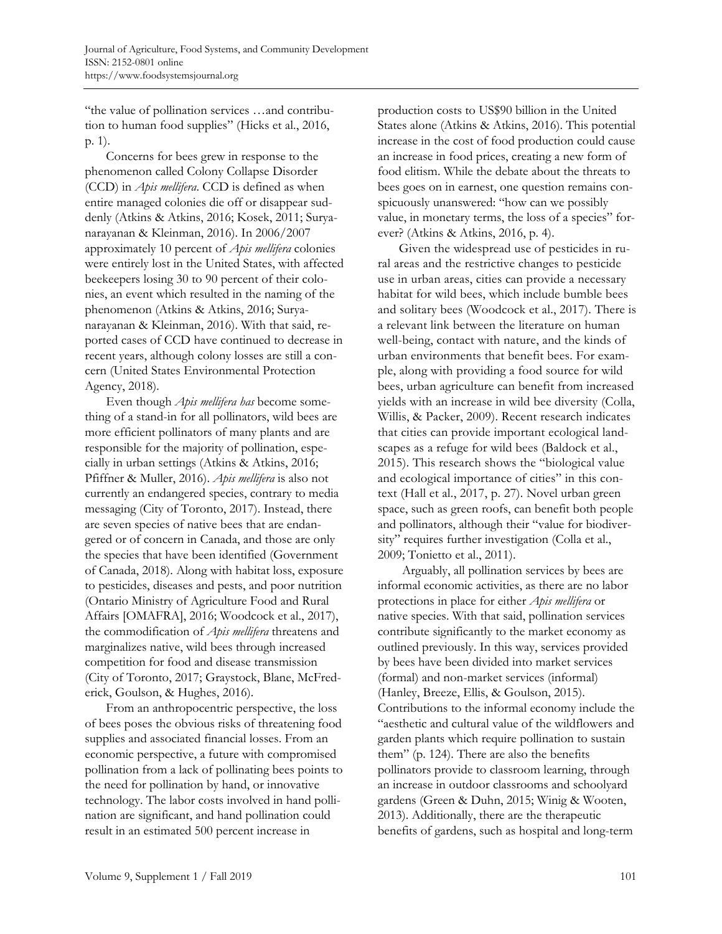"the value of pollination services …and contribution to human food supplies" (Hicks et al., 2016, p. 1).

 Concerns for bees grew in response to the phenomenon called Colony Collapse Disorder (CCD) in *Apis mellifera*. CCD is defined as when entire managed colonies die off or disappear suddenly (Atkins & Atkins, 2016; Kosek, 2011; Suryanarayanan & Kleinman, 2016). In 2006/2007 approximately 10 percent of *Apis mellifera* colonies were entirely lost in the United States, with affected beekeepers losing 30 to 90 percent of their colonies, an event which resulted in the naming of the phenomenon (Atkins & Atkins, 2016; Suryanarayanan & Kleinman, 2016). With that said, reported cases of CCD have continued to decrease in recent years, although colony losses are still a concern (United States Environmental Protection Agency, 2018).

 Even though *Apis mellifera has* become something of a stand-in for all pollinators, wild bees are more efficient pollinators of many plants and are responsible for the majority of pollination, especially in urban settings (Atkins & Atkins, 2016; Pfiffner & Muller, 2016). *Apis mellifera* is also not currently an endangered species, contrary to media messaging (City of Toronto, 2017). Instead, there are seven species of native bees that are endangered or of concern in Canada, and those are only the species that have been identified (Government of Canada, 2018). Along with habitat loss, exposure to pesticides, diseases and pests, and poor nutrition (Ontario Ministry of Agriculture Food and Rural Affairs [OMAFRA], 2016; Woodcock et al., 2017), the commodification of *Apis mellifera* threatens and marginalizes native, wild bees through increased competition for food and disease transmission (City of Toronto, 2017; Graystock, Blane, McFrederick, Goulson, & Hughes, 2016).

 From an anthropocentric perspective, the loss of bees poses the obvious risks of threatening food supplies and associated financial losses. From an economic perspective, a future with compromised pollination from a lack of pollinating bees points to the need for pollination by hand, or innovative technology. The labor costs involved in hand pollination are significant, and hand pollination could result in an estimated 500 percent increase in

production costs to US\$90 billion in the United States alone (Atkins & Atkins, 2016). This potential increase in the cost of food production could cause an increase in food prices, creating a new form of food elitism. While the debate about the threats to bees goes on in earnest, one question remains conspicuously unanswered: "how can we possibly value, in monetary terms, the loss of a species" forever? (Atkins & Atkins, 2016, p. 4).

 Given the widespread use of pesticides in rural areas and the restrictive changes to pesticide use in urban areas, cities can provide a necessary habitat for wild bees, which include bumble bees and solitary bees (Woodcock et al., 2017). There is a relevant link between the literature on human well-being, contact with nature, and the kinds of urban environments that benefit bees. For example, along with providing a food source for wild bees, urban agriculture can benefit from increased yields with an increase in wild bee diversity (Colla, Willis, & Packer, 2009). Recent research indicates that cities can provide important ecological landscapes as a refuge for wild bees (Baldock et al., 2015). This research shows the "biological value and ecological importance of cities" in this context (Hall et al., 2017, p. 27). Novel urban green space, such as green roofs, can benefit both people and pollinators, although their "value for biodiversity" requires further investigation (Colla et al., 2009; Tonietto et al., 2011).

 Arguably, all pollination services by bees are informal economic activities, as there are no labor protections in place for either *Apis mellifera* or native species. With that said, pollination services contribute significantly to the market economy as outlined previously. In this way, services provided by bees have been divided into market services (formal) and non-market services (informal) (Hanley, Breeze, Ellis, & Goulson, 2015). Contributions to the informal economy include the "aesthetic and cultural value of the wildflowers and garden plants which require pollination to sustain them" (p. 124). There are also the benefits pollinators provide to classroom learning, through an increase in outdoor classrooms and schoolyard gardens (Green & Duhn, 2015; Winig & Wooten, 2013). Additionally, there are the therapeutic benefits of gardens, such as hospital and long-term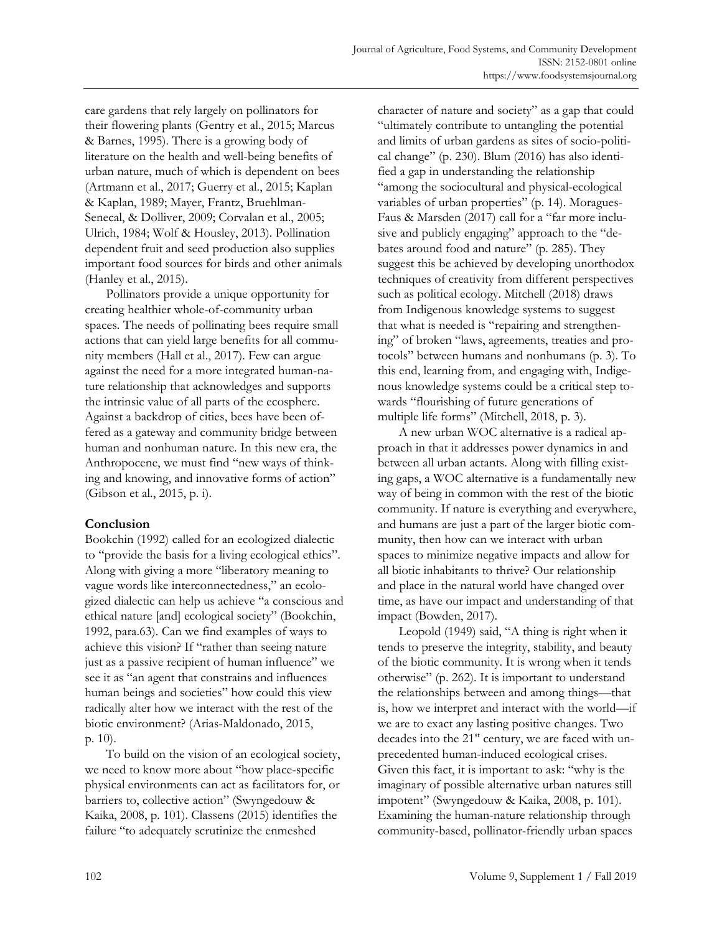care gardens that rely largely on pollinators for their flowering plants (Gentry et al., 2015; Marcus & Barnes, 1995). There is a growing body of literature on the health and well-being benefits of urban nature, much of which is dependent on bees (Artmann et al., 2017; Guerry et al., 2015; Kaplan & Kaplan, 1989; Mayer, Frantz, Bruehlman-Senecal, & Dolliver, 2009; Corvalan et al., 2005; Ulrich, 1984; Wolf & Housley, 2013). Pollination dependent fruit and seed production also supplies important food sources for birds and other animals (Hanley et al., 2015).

 Pollinators provide a unique opportunity for creating healthier whole-of-community urban spaces. The needs of pollinating bees require small actions that can yield large benefits for all community members (Hall et al., 2017). Few can argue against the need for a more integrated human-nature relationship that acknowledges and supports the intrinsic value of all parts of the ecosphere. Against a backdrop of cities, bees have been offered as a gateway and community bridge between human and nonhuman nature. In this new era, the Anthropocene, we must find "new ways of thinking and knowing, and innovative forms of action" (Gibson et al., 2015, p. i).

# **Conclusion**

Bookchin (1992) called for an ecologized dialectic to "provide the basis for a living ecological ethics". Along with giving a more "liberatory meaning to vague words like interconnectedness," an ecologized dialectic can help us achieve "a conscious and ethical nature [and] ecological society" (Bookchin, 1992, para.63). Can we find examples of ways to achieve this vision? If "rather than seeing nature just as a passive recipient of human influence" we see it as "an agent that constrains and influences human beings and societies" how could this view radically alter how we interact with the rest of the biotic environment? (Arias-Maldonado, 2015, p. 10).

To build on the vision of an ecological society, we need to know more about "how place-specific physical environments can act as facilitators for, or barriers to, collective action" (Swyngedouw & Kaika, 2008, p. 101). Classens (2015) identifies the failure "to adequately scrutinize the enmeshed

character of nature and society" as a gap that could "ultimately contribute to untangling the potential and limits of urban gardens as sites of socio-political change" (p. 230). Blum (2016) has also identified a gap in understanding the relationship "among the sociocultural and physical-ecological variables of urban properties" (p. 14). Moragues-Faus & Marsden (2017) call for a "far more inclusive and publicly engaging" approach to the "debates around food and nature" (p. 285). They suggest this be achieved by developing unorthodox techniques of creativity from different perspectives such as political ecology. Mitchell (2018) draws from Indigenous knowledge systems to suggest that what is needed is "repairing and strengthening" of broken "laws, agreements, treaties and protocols" between humans and nonhumans (p. 3). To this end, learning from, and engaging with, Indigenous knowledge systems could be a critical step towards "flourishing of future generations of multiple life forms" (Mitchell, 2018, p. 3).

 A new urban WOC alternative is a radical approach in that it addresses power dynamics in and between all urban actants. Along with filling existing gaps, a WOC alternative is a fundamentally new way of being in common with the rest of the biotic community. If nature is everything and everywhere, and humans are just a part of the larger biotic community, then how can we interact with urban spaces to minimize negative impacts and allow for all biotic inhabitants to thrive? Our relationship and place in the natural world have changed over time, as have our impact and understanding of that impact (Bowden, 2017).

 Leopold (1949) said, "A thing is right when it tends to preserve the integrity, stability, and beauty of the biotic community. It is wrong when it tends otherwise" (p. 262). It is important to understand the relationships between and among things—that is, how we interpret and interact with the world—if we are to exact any lasting positive changes. Two decades into the  $21<sup>st</sup>$  century, we are faced with unprecedented human-induced ecological crises. Given this fact, it is important to ask: "why is the imaginary of possible alternative urban natures still impotent" (Swyngedouw & Kaika, 2008, p. 101). Examining the human-nature relationship through community-based, pollinator-friendly urban spaces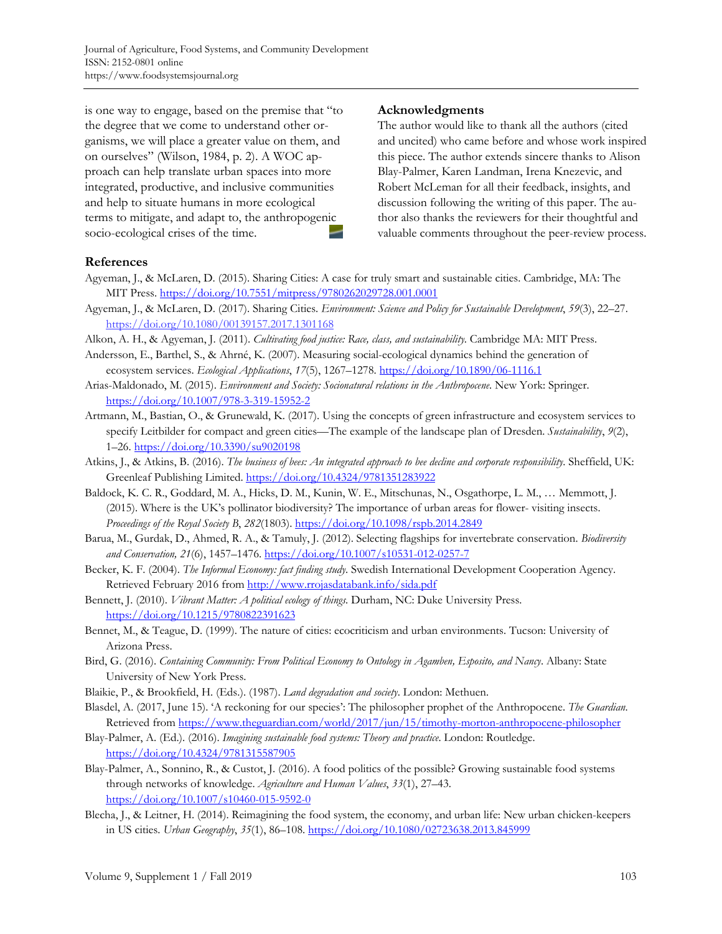is one way to engage, based on the premise that "to the degree that we come to understand other organisms, we will place a greater value on them, and on ourselves" (Wilson, 1984, p. 2). A WOC approach can help translate urban spaces into more integrated, productive, and inclusive communities and help to situate humans in more ecological terms to mitigate, and adapt to, the anthropogenic socio-ecological crises of the time.

#### **Acknowledgments**

The author would like to thank all the authors (cited and uncited) who came before and whose work inspired this piece. The author extends sincere thanks to Alison Blay-Palmer, Karen Landman, Irena Knezevic, and Robert McLeman for all their feedback, insights, and discussion following the writing of this paper. The author also thanks the reviewers for their thoughtful and valuable comments throughout the peer-review process.

#### **References**

- Agyeman, J., & McLaren, D. (2015). Sharing Cities: A case for truly smart and sustainable cities. Cambridge, MA: The MIT Press. https://doi.org/10.7551/mitpress/9780262029728.001.0001
- Agyeman, J., & McLaren, D. (2017). Sharing Cities. *Environment: Science and Policy for Sustainable Development*, *59*(3), 22–27. https://doi.org/10.1080/00139157.2017.1301168
- Alkon, A. H., & Agyeman, J. (2011). *Cultivating food justice: Race, class, and sustainability*. Cambridge MA: MIT Press.
- Andersson, E., Barthel, S., & Ahrné, K. (2007). Measuring social-ecological dynamics behind the generation of ecosystem services. *Ecological Applications*, *17*(5), 1267–1278. https://doi.org/10.1890/06-1116.1
- Arias-Maldonado, M. (2015). *Environment and Society: Socionatural relations in the Anthropocene*. New York: Springer. https://doi.org/10.1007/978-3-319-15952-2
- Artmann, M., Bastian, O., & Grunewald, K. (2017). Using the concepts of green infrastructure and ecosystem services to specify Leitbilder for compact and green cities—The example of the landscape plan of Dresden. *Sustainability*, *9*(2), 1–26. https://doi.org/10.3390/su9020198
- Atkins, J., & Atkins, B. (2016). *The business of bees: An integrated approach to bee decline and corporate responsibility*. Sheffield, UK: Greenleaf Publishing Limited. https://doi.org/10.4324/9781351283922
- Baldock, K. C. R., Goddard, M. A., Hicks, D. M., Kunin, W. E., Mitschunas, N., Osgathorpe, L. M., … Memmott, J. (2015). Where is the UK's pollinator biodiversity? The importance of urban areas for flower- visiting insects. *Proceedings of the Royal Society B*, *282*(1803). https://doi.org/10.1098/rspb.2014.2849
- Barua, M., Gurdak, D., Ahmed, R. A., & Tamuly, J. (2012). Selecting flagships for invertebrate conservation. *Biodiversity and Conservation, 21*(6), 1457–1476. https://doi.org/10.1007/s10531-012-0257-7
- Becker, K. F. (2004). *The Informal Economy: fact finding study*. Swedish International Development Cooperation Agency. Retrieved February 2016 from http://www.rrojasdatabank.info/sida.pdf
- Bennett, J. (2010). *Vibrant Matter: A political ecology of things*. Durham, NC: Duke University Press. https://doi.org/10.1215/9780822391623
- Bennet, M., & Teague, D. (1999). The nature of cities: ecocriticism and urban environments. Tucson: University of Arizona Press.
- Bird, G. (2016). *Containing Community: From Political Economy to Ontology in Agamben, Esposito, and Nancy*. Albany: State University of New York Press.
- Blaikie, P., & Brookfield, H. (Eds.). (1987). *Land degradation and society*. London: Methuen.
- Blasdel, A. (2017, June 15). 'A reckoning for our species': The philosopher prophet of the Anthropocene. *The Guardian*. Retrieved from https://www.theguardian.com/world/2017/jun/15/timothy-morton-anthropocene-philosopher
- Blay-Palmer, A. (Ed.). (2016). *Imagining sustainable food systems: Theory and practice*. London: Routledge. https://doi.org/10.4324/9781315587905
- Blay-Palmer, A., Sonnino, R., & Custot, J. (2016). A food politics of the possible? Growing sustainable food systems through networks of knowledge. *Agriculture and Human Values*, *33*(1), 27–43. https://doi.org/10.1007/s10460-015-9592-0
- Blecha, J., & Leitner, H. (2014). Reimagining the food system, the economy, and urban life: New urban chicken-keepers in US cities. *Urban Geography*, *35*(1), 86–108. https://doi.org/10.1080/02723638.2013.845999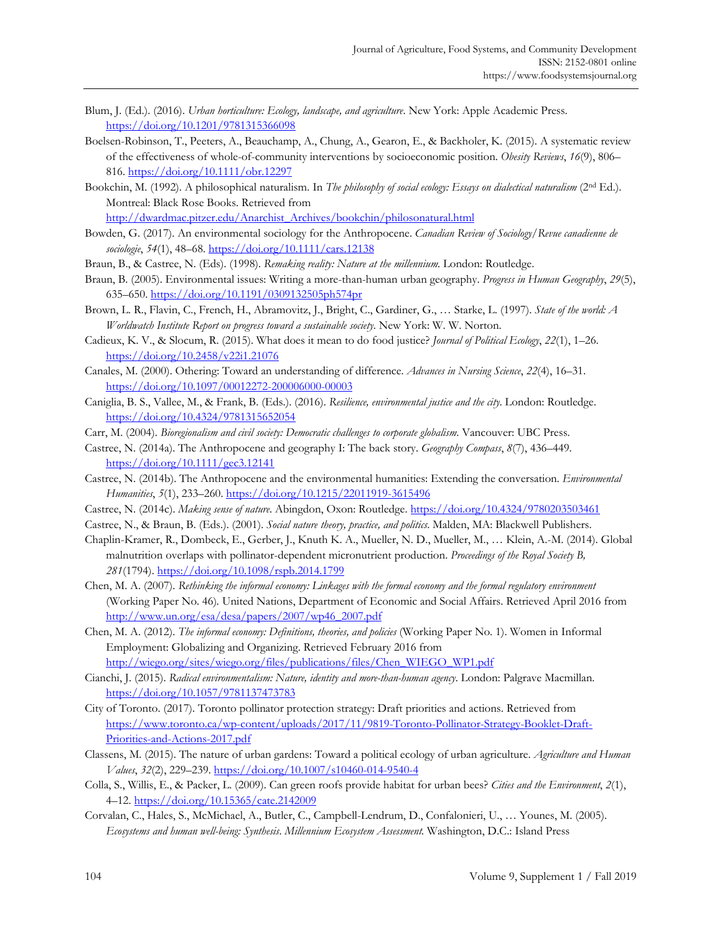- Blum, J. (Ed.). (2016). *Urban horticulture: Ecology, landscape, and agriculture*. New York: Apple Academic Press. https://doi.org/10.1201/9781315366098
- Boelsen-Robinson, T., Peeters, A., Beauchamp, A., Chung, A., Gearon, E., & Backholer, K. (2015). A systematic review of the effectiveness of whole-of-community interventions by socioeconomic position. *Obesity Reviews*, *16*(9), 806– 816. https://doi.org/10.1111/obr.12297
- Bookchin, M. (1992). A philosophical naturalism. In *The philosophy of social ecology: Essays on dialectical naturalism* (2nd Ed.). Montreal: Black Rose Books. Retrieved from

http://dwardmac.pitzer.edu/Anarchist\_Archives/bookchin/philosonatural.html

- Bowden, G. (2017). An environmental sociology for the Anthropocene. *Canadian Review of Sociology/Revue canadienne de sociologie*, *54*(1), 48–68. https://doi.org/10.1111/cars.12138
- Braun, B., & Castree, N. (Eds). (1998). *Remaking reality: Nature at the millennium.* London: Routledge.
- Braun, B. (2005). Environmental issues: Writing a more-than-human urban geography. *Progress in Human Geography*, *29*(5), 635–650. https://doi.org/10.1191/0309132505ph574pr
- Brown, L. R., Flavin, C., French, H., Abramovitz, J., Bright, C., Gardiner, G., … Starke, L. (1997). *State of the world: A Worldwatch Institute Report on progress toward a sustainable society*. New York: W. W. Norton.
- Cadieux, K. V., & Slocum, R. (2015). What does it mean to do food justice? *Journal of Political Ecology*, *22*(1), 1–26. https://doi.org/10.2458/v22i1.21076
- Canales, M. (2000). Othering: Toward an understanding of difference. *Advances in Nursing Science*, *22*(4), 16–31. https://doi.org/10.1097/00012272-200006000-00003
- Caniglia, B. S., Vallee, M., & Frank, B. (Eds.). (2016). *Resilience, environmental justice and the city*. London: Routledge. https://doi.org/10.4324/9781315652054
- Carr, M. (2004). *Bioregionalism and civil society: Democratic challenges to corporate globalism*. Vancouver: UBC Press.
- Castree, N. (2014a). The Anthropocene and geography I: The back story. *Geography Compass*, *8*(7), 436–449. https://doi.org/10.1111/gec3.12141
- Castree, N. (2014b). The Anthropocene and the environmental humanities: Extending the conversation. *Environmental Humanities*, *5*(1), 233–260. https://doi.org/10.1215/22011919-3615496
- Castree, N. (2014c). *Making sense of nature*. Abingdon, Oxon: Routledge. https://doi.org/10.4324/9780203503461
- Castree, N., & Braun, B. (Eds.). (2001). *Social nature theory, practice, and politics*. Malden, MA: Blackwell Publishers.
- Chaplin-Kramer, R., Dombeck, E., Gerber, J., Knuth K. A., Mueller, N. D., Mueller, M., … Klein, A.-M. (2014). Global malnutrition overlaps with pollinator-dependent micronutrient production. *Proceedings of the Royal Society B, 281*(1794). https://doi.org/10.1098/rspb.2014.1799
- Chen, M. A. (2007). *Rethinking the informal economy: Linkages with the formal economy and the formal regulatory environment*  (Working Paper No. 46)*.* United Nations, Department of Economic and Social Affairs. Retrieved April 2016 from http://www.un.org/esa/desa/papers/2007/wp46\_2007.pdf
- Chen, M. A. (2012). *The informal economy: Definitions, theories, and policies* (Working Paper No. 1). Women in Informal Employment: Globalizing and Organizing. Retrieved February 2016 from http://wiego.org/sites/wiego.org/files/publications/files/Chen\_WIEGO\_WP1.pdf
- Cianchi, J. (2015). *Radical environmentalism: Nature, identity and more-than-human agency*. London: Palgrave Macmillan. https://doi.org/10.1057/9781137473783
- City of Toronto. (2017). Toronto pollinator protection strategy: Draft priorities and actions. Retrieved from [https://www.toronto.ca/wp-content/uploads/2017/11/9819-Toronto-Pollinator-Strategy-Booklet-Draft-](https://www.toronto.ca/wp-content/uploads/2017/11/9819-Toronto-Pollinator-Strategy-Booklet-Draft-Priorities-and-Actions-2017.pdf)Priorities-and-Actions-2017.pdf
- Classens, M. (2015). The nature of urban gardens: Toward a political ecology of urban agriculture. *Agriculture and Human Values*, *32*(2), 229–239. https://doi.org/10.1007/s10460-014-9540-4
- Colla, S., Willis, E., & Packer, L. (2009). Can green roofs provide habitat for urban bees? *Cities and the Environment*, *2*(1), 4–12. https://doi.org/10.15365/cate.2142009
- Corvalan, C., Hales, S., McMichael, A., Butler, C., Campbell-Lendrum, D., Confalonieri, U., … Younes, M. (2005). *Ecosystems and human well-being: Synthesis*. *Millennium Ecosystem Assessment.* Washington, D.C.: Island Press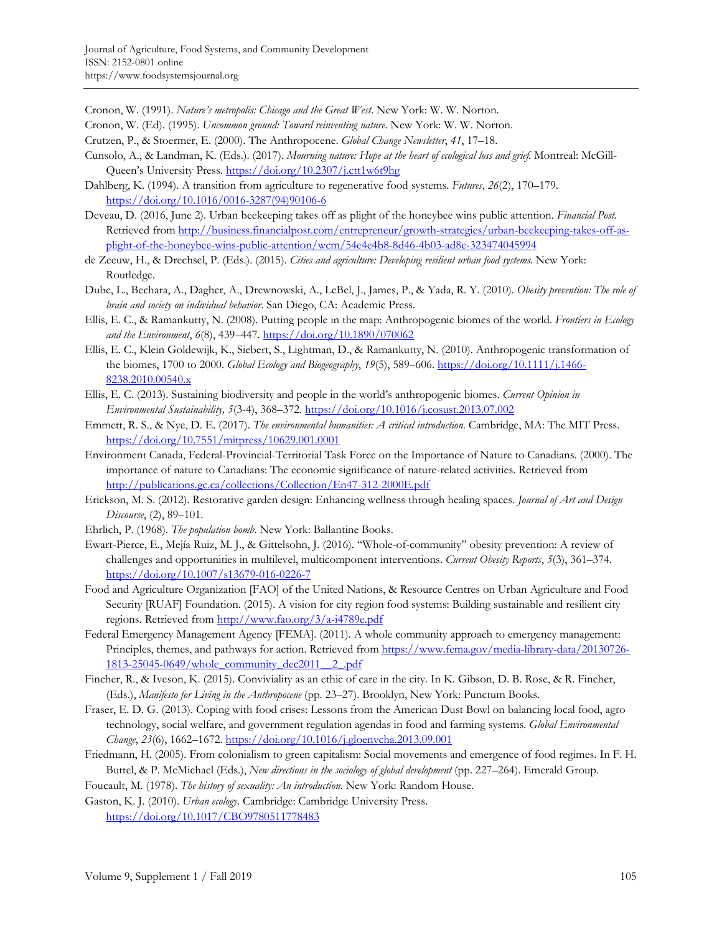Cronon, W. (1991). *Nature's metropolis: Chicago and the Great West*. New York: W. W. Norton.

- Cronon, W. (Ed). (1995). *Uncommon ground: Toward reinventing nature*. New York: W. W. Norton.
- Crutzen, P., & Stoermer, E. (2000). The Anthropocene. *Global Change Newsletter*, *41*, 17–18.
- Cunsolo, A., & Landman, K. (Eds.). (2017). *Mourning nature: Hope at the heart of ecological loss and grief*. Montreal: McGill-Queen's University Press. https://doi.org/10.2307/j.ctt1w6t9hg
- Dahlberg, K. (1994). A transition from agriculture to regenerative food systems. *Futures*, *26*(2), 170–179. [https://doi.org/10.1016/0016-3287\(94\)90106-6](https://doi.org/10.1016/0016-3287(94)90106-6)
- Deveau, D. (2016, June 2). Urban beekeeping takes off as plight of the honeybee wins public attention. *Financial Post*. [Retrieved from http://business.financialpost.com/entrepreneur/growth-strategies/urban-beekeeping-takes-off-as](http://business.financialpost.com/entrepreneur/growth-strategies/urban-beekeeping-takes-off-as-plight-of-the-honeybee-wins-public-attention/wcm/54e4e4b8-8d46-4b03-ad8e-323474045994)plight-of-the-honeybee-wins-public-attention/wcm/54e4e4b8-8d46-4b03-ad8e-323474045994
- de Zeeuw, H., & Drechsel, P. (Eds.). (2015). *Cities and agriculture: Developing resilient urban food systems*. New York: Routledge.
- Dube, L., Bechara, A., Dagher, A., Drewnowski, A., LeBel, J., James, P., & Yada, R. Y. (2010). *Obesity prevention: The role of brain and society on individual behavior*. San Diego, CA: Academic Press.
- Ellis, E. C., & Ramankutty, N. (2008). Putting people in the map: Anthropogenic biomes of the world. *Frontiers in Ecology and the Environment*, *6*(8), 439–447. https://doi.org/10.1890/070062
- Ellis, E. C., Klein Goldewijk, K., Siebert, S., Lightman, D., & Ramankutty, N. (2010). Anthropogenic transformation of the biomes, 1700 to 2000. *Global Ecology and Biogeography*, *19*(5), 589–606. https://doi.org/10.1111/j.1466- 8238.2010.00540.x
- Ellis, E. C. (2013). Sustaining biodiversity and people in the world's anthropogenic biomes. *Current Opinion in Environmental Sustainability, 5*(3-4), 368–372. https://doi.org/10.1016/j.cosust.2013.07.002
- Emmett, R. S., & Nye, D. E. (2017). *The environmental humanities: A critical introduction*. Cambridge, MA: The MIT Press. https://doi.org/10.7551/mitpress/10629.001.0001
- Environment Canada, Federal-Provincial-Territorial Task Force on the Importance of Nature to Canadians. (2000). The importance of nature to Canadians: The economic significance of nature-related activities. Retrieved from http://publications.gc.ca/collections/Collection/En47-312-2000E.pdf
- Erickson, M. S. (2012). Restorative garden design: Enhancing wellness through healing spaces. *Journal of Art and Design Discourse*, (2), 89–101.
- Ehrlich, P. (1968). *The population bomb*. New York: Ballantine Books.
- Ewart-Pierce, E., Mejía Ruiz, M. J., & Gittelsohn, J. (2016). "Whole-of-community" obesity prevention: A review of challenges and opportunities in multilevel, multicomponent interventions. *Current Obesity Reports*, *5*(3), 361–374. https://doi.org/10.1007/s13679-016-0226-7
- Food and Agriculture Organization [FAO] of the United Nations, & Resource Centres on Urban Agriculture and Food Security [RUAF] Foundation. (2015). A vision for city region food systems: Building sustainable and resilient city regions. Retrieved from http://www.fao.org/3/a-i4789e.pdf
- Federal Emergency Management Agency [FEMA]. (2011). A whole community approach to emergency management: [Principles, themes, and pathways for action. Retrieved from https://www.fema.gov/media-library-data/20130726-](https://www.fema.gov/media-library-data/20130726-1813-25045-0649/whole_community_dec2011__2_.pdf) 1813-25045-0649/whole\_community\_dec2011\_\_2\_.pdf
- Fincher, R., & Iveson, K. (2015). Conviviality as an ethic of care in the city. In K. Gibson, D. B. Rose, & R. Fincher, (Eds.), *Manifesto for Living in the Anthropocene* (pp. 23–27). Brooklyn, New York: Punctum Books.
- Fraser, E. D. G. (2013). Coping with food crises: Lessons from the American Dust Bowl on balancing local food, agro technology, social welfare, and government regulation agendas in food and farming systems. *Global Environmental Change*, *23*(6), 1662–1672. https://doi.org/10.1016/j.gloenvcha.2013.09.001
- Friedmann, H. (2005). From colonialism to green capitalism: Social movements and emergence of food regimes. In F. H. Buttel, & P. McMichael (Eds.), *New directions in the sociology of global development* (pp. 227-264). Emerald Group.
- Foucault, M. (1978). *The history of sexuality: An introduction*. New York: Random House.
- Gaston, K. J. (2010). *Urban ecology*. Cambridge: Cambridge University Press. https://doi.org/10.1017/CBO9780511778483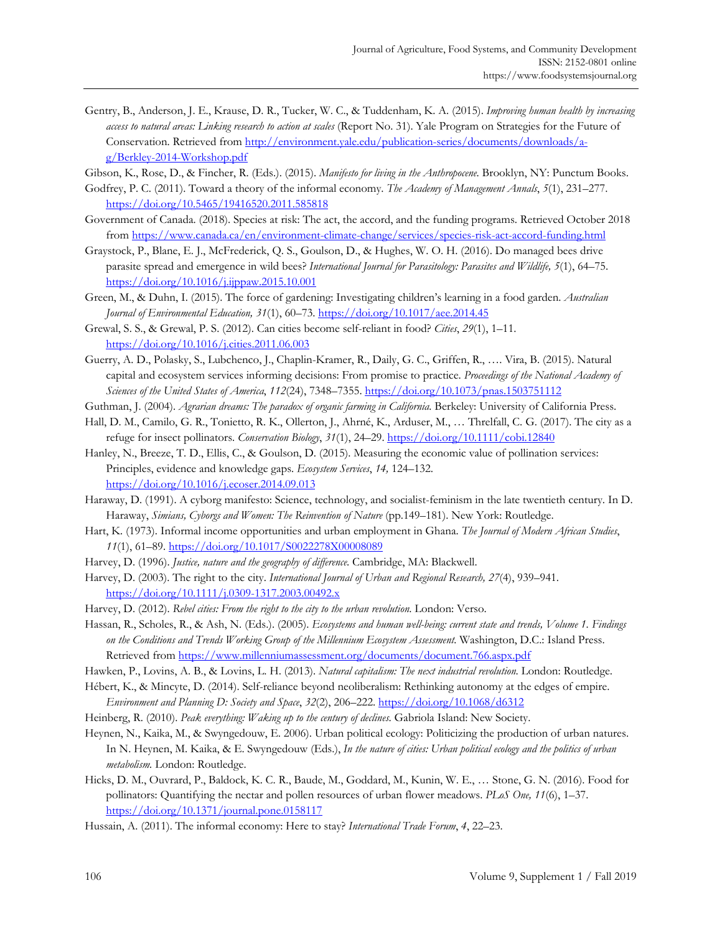- Gentry, B., Anderson, J. E., Krause, D. R., Tucker, W. C., & Tuddenham, K. A. (2015). *Improving human health by increasing access to natural areas: Linking research to action at scales* (Report No. 31). Yale Program on Strategies for the Future of Conservation. Retrieved from http://environment.yale.edu/publication-series/documents/downloads/ag/Berkley-2014-Workshop.pdf
- Gibson, K., Rose, D., & Fincher, R. (Eds.). (2015). *Manifesto for living in the Anthropocene*. Brooklyn, NY: Punctum Books.
- Godfrey, P. C. (2011). Toward a theory of the informal economy. *The Academy of Management Annals*, *5*(1), 231–277. https://doi.org/10.5465/19416520.2011.585818
- Government of Canada. (2018). Species at risk: The act, the accord, and the funding programs. Retrieved October 2018 from https://www.canada.ca/en/environment-climate-change/services/species-risk-act-accord-funding.html
- Graystock, P., Blane, E. J., McFrederick, Q. S., Goulson, D., & Hughes, W. O. H. (2016). Do managed bees drive parasite spread and emergence in wild bees? *International Journal for Parasitology: Parasites and Wildlife, 5*(1), 64–75. https://doi.org/10.1016/j.ijppaw.2015.10.001
- Green, M., & Duhn, I. (2015). The force of gardening: Investigating children's learning in a food garden. *Australian Journal of Environmental Education, 31*(1), 60–73. https://doi.org/10.1017/aee.2014.45
- Grewal, S. S., & Grewal, P. S. (2012). Can cities become self-reliant in food? *Cities*, *29*(1), 1–11. https://doi.org/10.1016/j.cities.2011.06.003
- Guerry, A. D., Polasky, S., Lubchenco, J., Chaplin-Kramer, R., Daily, G. C., Griffen, R., …. Vira, B. (2015). Natural capital and ecosystem services informing decisions: From promise to practice. *Proceedings of the National Academy of Sciences of the United States of America*, *112*(24), 7348–7355. https://doi.org/10.1073/pnas.1503751112
- Guthman, J. (2004). *Agrarian dreams: The paradox of organic farming in California.* Berkeley: University of California Press.
- Hall, D. M., Camilo, G. R., Tonietto, R. K., Ollerton, J., Ahrné, K., Arduser, M., … Threlfall, C. G. (2017). The city as a refuge for insect pollinators. *Conservation Biology*, *31*(1), 24–29. https://doi.org/10.1111/cobi.12840
- Hanley, N., Breeze, T. D., Ellis, C., & Goulson, D. (2015). Measuring the economic value of pollination services: Principles, evidence and knowledge gaps. *Ecosystem Services*, *14,* 124–132. https://doi.org/10.1016/j.ecoser.2014.09.013
- Haraway, D. (1991). A cyborg manifesto: Science, technology, and socialist-feminism in the late twentieth century. In D. Haraway, *Simians, Cyborgs and Women: The Reinvention of Nature* (pp.149–181). New York: Routledge.
- Hart, K. (1973). Informal income opportunities and urban employment in Ghana. *The Journal of Modern African Studies*, *11*(1), 61–89. https://doi.org/10.1017/S0022278X00008089
- Harvey, D. (1996). *Justice, nature and the geography of difference*. Cambridge, MA: Blackwell.
- Harvey, D. (2003). The right to the city. *International Journal of Urban and Regional Research, 27*(4), 939–941. https://doi.org/10.1111/j.0309-1317.2003.00492.x
- Harvey, D. (2012). *Rebel cities: From the right to the city to the urban revolution*. London: Verso.
- Hassan, R., Scholes, R., & Ash, N. (Eds.). (2005). *Ecosystems and human well-being: current state and trends, Volume 1. Findings on the Conditions and Trends Working Group of the Millennium Ecosystem Assessment.* Washington, D.C.: Island Press. Retrieved from https://www.millenniumassessment.org/documents/document.766.aspx.pdf
- Hawken, P., Lovins, A. B., & Lovins, L. H. (2013). *Natural capitalism: The next industrial revolution*. London: Routledge.
- Hébert, K., & Mincyte, D. (2014). Self-reliance beyond neoliberalism: Rethinking autonomy at the edges of empire. *Environment and Planning D: Society and Space*, *32*(2), 206–222. https://doi.org/10.1068/d6312
- Heinberg, R. (2010). *Peak everything: Waking up to the century of declines*. Gabriola Island: New Society.
- Heynen, N., Kaika, M., & Swyngedouw, E. 2006). Urban political ecology: Politicizing the production of urban natures. In N. Heynen, M. Kaika, & E. Swyngedouw (Eds.), *In the nature of cities: Urban political ecology and the politics of urban metabolism.* London: Routledge.
- Hicks, D. M., Ouvrard, P., Baldock, K. C. R., Baude, M., Goddard, M., Kunin, W. E., … Stone, G. N. (2016). Food for pollinators: Quantifying the nectar and pollen resources of urban flower meadows. *PLoS One, 11*(6), 1–37. https://doi.org/10.1371/journal.pone.0158117
- Hussain, A. (2011). The informal economy: Here to stay? *International Trade Forum*, *4*, 22–23.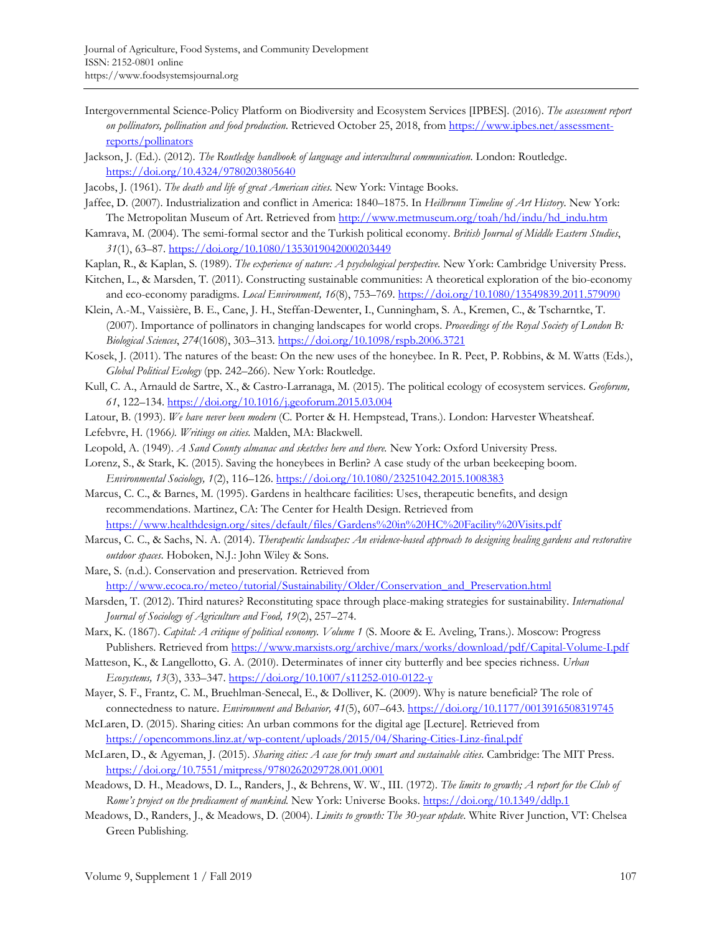- Intergovernmental Science-Policy Platform on Biodiversity and Ecosystem Services [IPBES]. (2016). *The assessment report on pollinators, pollination and food production*. Retrieved October 25, 2018, from https://www.ipbes.net/assessmentreports/pollinators
- Jackson, J. (Ed.). (2012). *The Routledge handbook of language and intercultural communication*. London: Routledge. https://doi.org/10.4324/9780203805640
- Jacobs, J. (1961). *The death and life of great American cities*. New York: Vintage Books.
- Jaffee, D. (2007). Industrialization and conflict in America: 1840–1875. In *Heilbrunn Timeline of Art History*. New York: The Metropolitan Museum of Art. Retrieved from http://www.metmuseum.org/toah/hd/indu/hd\_indu.htm
- Kamrava, M. (2004). The semi-formal sector and the Turkish political economy. *British Journal of Middle Eastern Studies*, *31*(1), 63–87. https://doi.org/10.1080/1353019042000203449
- Kaplan, R., & Kaplan, S. (1989). *The experience of nature: A psychological perspective*. New York: Cambridge University Press.
- Kitchen, L., & Marsden, T. (2011). Constructing sustainable communities: A theoretical exploration of the bio-economy and eco-economy paradigms. *Local Environment, 16*(8), 753–769. https://doi.org/10.1080/13549839.2011.579090
- Klein, A.-M., Vaissière, B. E., Cane, J. H., Steffan-Dewenter, I., Cunningham, S. A., Kremen, C., & Tscharntke, T. (2007). Importance of pollinators in changing landscapes for world crops. *Proceedings of the Royal Society of London B: Biological Sciences*, *274*(1608), 303–313. https://doi.org/10.1098/rspb.2006.3721
- Kosek, J. (2011). The natures of the beast: On the new uses of the honeybee. In R. Peet, P. Robbins, & M. Watts (Eds.), *Global Political Ecology* (pp. 242–266). New York: Routledge.
- Kull, C. A., Arnauld de Sartre, X., & Castro-Larranaga, M. (2015). The political ecology of ecosystem services. *Geoforum, 61*, 122–134. https://doi.org/10.1016/j.geoforum.2015.03.004
- Latour, B. (1993). *We have never been modern* (C. Porter & H. Hempstead, Trans.). London: Harvester Wheatsheaf.
- Lefebvre, H. (1966*). Writings on cities.* Malden, MA: Blackwell.
- Leopold, A. (1949). *A Sand County almanac and sketches here and there.* New York: Oxford University Press.
- Lorenz, S., & Stark, K. (2015). Saving the honeybees in Berlin? A case study of the urban beekeeping boom. *Environmental Sociology, 1*(2), 116–126. https://doi.org/10.1080/23251042.2015.1008383
- Marcus, C. C., & Barnes, M. (1995). Gardens in healthcare facilities: Uses, therapeutic benefits, and design recommendations. Martinez, CA: The Center for Health Design. Retrieved from https://www.healthdesign.org/sites/default/files/Gardens%20in%20HC%20Facility%20Visits.pdf
- Marcus, C. C., & Sachs, N. A. (2014). *Therapeutic landscapes: An evidence-based approach to designing healing gardens and restorative outdoor spaces*. Hoboken, N.J.: John Wiley & Sons.
- Mare, S. (n.d.). Conservation and preservation. Retrieved from http://www.ecoca.ro/meteo/tutorial/Sustainability/Older/Conservation\_and\_Preservation.html
- Marsden, T. (2012). Third natures? Reconstituting space through place-making strategies for sustainability. *International Journal of Sociology of Agriculture and Food, 19*(2), 257–274.
- Marx, K. (1867). *Capital: A critique of political economy. Volume 1* (S. Moore & E. Aveling, Trans.). Moscow: Progress Publishers. Retrieved from https://www.marxists.org/archive/marx/works/download/pdf/Capital-Volume-I.pdf
- Matteson, K., & Langellotto, G. A. (2010). Determinates of inner city butterfly and bee species richness. *Urban Ecosystems, 13*(3), 333–347. https://doi.org/10.1007/s11252-010-0122-y
- Mayer, S. F., Frantz, C. M., Bruehlman-Senecal, E., & Dolliver, K. (2009). Why is nature beneficial? The role of connectedness to nature. *Environment and Behavior, 41*(5), 607–643. https://doi.org/10.1177/0013916508319745
- McLaren, D. (2015). Sharing cities: An urban commons for the digital age [Lecture]. Retrieved from https://opencommons.linz.at/wp-content/uploads/2015/04/Sharing-Cities-Linz-final.pdf
- McLaren, D., & Agyeman, J. (2015). *Sharing cities: A case for truly smart and sustainable cities*. Cambridge: The MIT Press. https://doi.org/10.7551/mitpress/9780262029728.001.0001
- Meadows, D. H., Meadows, D. L., Randers, J., & Behrens, W. W., III. (1972). *The limits to growth; A report for the Club of Rome's project on the predicament of mankind.* New York: Universe Books. https://doi.org/10.1349/ddlp.1
- Meadows, D., Randers, J., & Meadows, D. (2004). *Limits to growth: The 30-year update*. White River Junction, VT: Chelsea Green Publishing.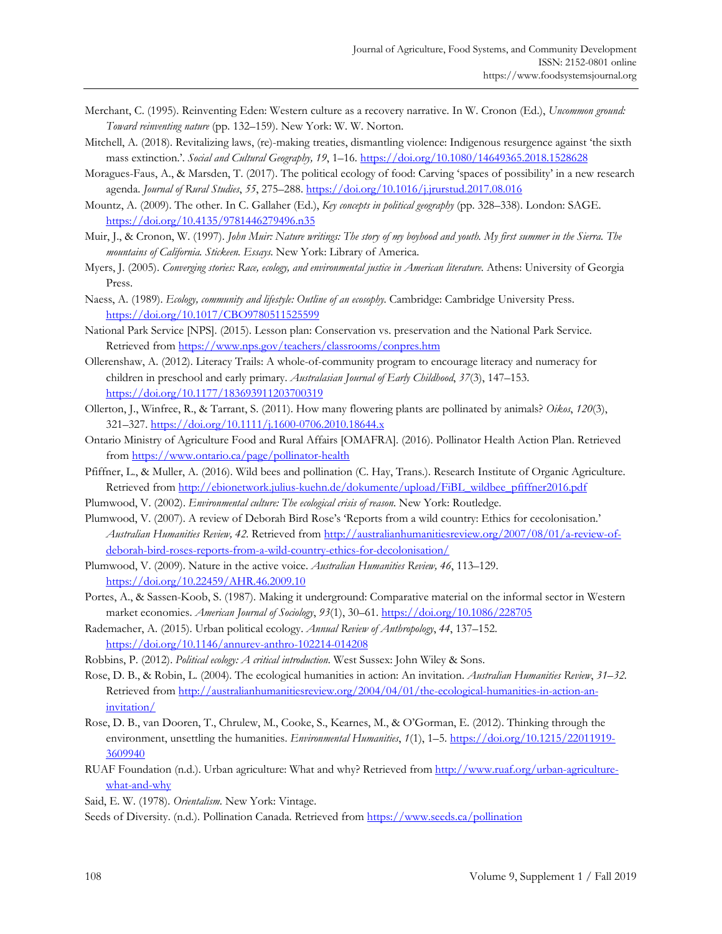- Merchant, C. (1995). Reinventing Eden: Western culture as a recovery narrative. In W. Cronon (Ed.), *Uncommon ground: Toward reinventing nature* (pp. 132–159). New York: W. W. Norton.
- Mitchell, A. (2018). Revitalizing laws, (re)-making treaties, dismantling violence: Indigenous resurgence against 'the sixth mass extinction.'. *Social and Cultural Geography, 19*, 1–16. https://doi.org/10.1080/14649365.2018.1528628
- Moragues-Faus, A., & Marsden, T. (2017). The political ecology of food: Carving 'spaces of possibility' in a new research agenda. *Journal of Rural Studies*, *55*, 275–288. https://doi.org/10.1016/j.jrurstud.2017.08.016
- Mountz, A. (2009). The other. In C. Gallaher (Ed.), *Key concepts in political geography* (pp. 328–338). London: SAGE. https://doi.org/10.4135/9781446279496.n35
- Muir, J., & Cronon, W. (1997). *John Muir: Nature writings: The story of my boyhood and youth. My first summer in the Sierra. The mountains of California. Stickeen. Essays*. New York: Library of America.
- Myers, J. (2005). *Converging stories: Race, ecology, and environmental justice in American literature*. Athens: University of Georgia Press.
- Naess, A. (1989). *Ecology, community and lifestyle: Outline of an ecosophy*. Cambridge: Cambridge University Press. https://doi.org/10.1017/CBO9780511525599
- National Park Service [NPS]. (2015). Lesson plan: Conservation vs. preservation and the National Park Service. Retrieved from https://www.nps.gov/teachers/classrooms/conpres.htm
- Ollerenshaw, A. (2012). Literacy Trails: A whole-of-community program to encourage literacy and numeracy for children in preschool and early primary. *Australasian Journal of Early Childhood*, *37*(3), 147–153. https://doi.org/10.1177/183693911203700319
- Ollerton, J., Winfree, R., & Tarrant, S. (2011). How many flowering plants are pollinated by animals? *Oikos*, *120*(3), 321–327. https://doi.org/10.1111/j.1600-0706.2010.18644.x
- Ontario Ministry of Agriculture Food and Rural Affairs [OMAFRA]. (2016). Pollinator Health Action Plan. Retrieved from https://www.ontario.ca/page/pollinator-health
- Pfiffner, L., & Muller, A. (2016). Wild bees and pollination (C. Hay, Trans.). Research Institute of Organic Agriculture. Retrieved from http://ebionetwork.julius-kuehn.de/dokumente/upload/FiBL\_wildbee\_pfiffner2016.pdf
- Plumwood, V. (2002). *Environmental culture: The ecological crisis of reason*. New York: Routledge.
- Plumwood, V. (2007). A review of Deborah Bird Rose's 'Reports from a wild country: Ethics for cecolonisation.' *Australian Humanities Review, 42.* [Retrieved from http://australianhumanitiesreview.org/2007/08/01/a-review-of](http://australianhumanitiesreview.org/2007/08/01/a-review-of-deborah-bird-roses-reports-from-a-wild-country-ethics-for-decolonisation/)deborah-bird-roses-reports-from-a-wild-country-ethics-for-decolonisation/
- Plumwood, V. (2009). Nature in the active voice. *Australian Humanities Review, 46*, 113–129. https://doi.org/10.22459/AHR.46.2009.10
- Portes, A., & Sassen-Koob, S. (1987). Making it underground: Comparative material on the informal sector in Western market economies. *American Journal of Sociology*, *93*(1), 30–61. https://doi.org/10.1086/228705
- Rademacher, A. (2015). Urban political ecology. *Annual Review of Anthropology*, *44*, 137–152. https://doi.org/10.1146/annurev-anthro-102214-014208
- Robbins, P. (2012). *Political ecology: A critical introduction*. West Sussex: John Wiley & Sons.
- Rose, D. B., & Robin, L. (2004). The ecological humanities in action: An invitation. *Australian Humanities Review*, *31–32.* [Retrieved from http://australianhumanitiesreview.org/2004/04/01/the-ecological-humanities-in-action-an](http://australianhumanitiesreview.org/2004/04/01/the-ecological-humanities-in-action-an-invitation/)invitation/
- Rose, D. B., van Dooren, T., Chrulew, M., Cooke, S., Kearnes, M., & O'Gorman, E. (2012). Thinking through the environment, unsettling the humanities. *Environmental Humanities*, *1*(1), 1–5. https://doi.org/10.1215/22011919- 3609940
- RUAF Foundation (n.d.). Urban agriculture: What and why? Retrieved from http://www.ruaf.org/urban-agriculturewhat-and-why
- Said, E. W. (1978). *Orientalism*. New York: Vintage.

Seeds of Diversity. (n.d.). Pollination Canada. Retrieved from https://www.seeds.ca/pollination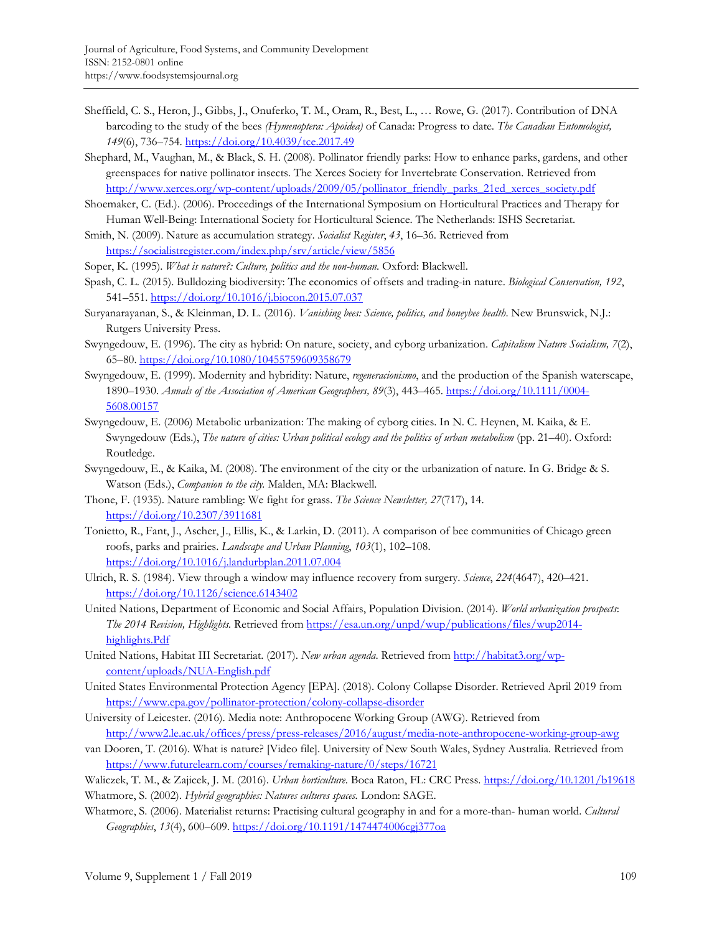- Sheffield, C. S., Heron, J., Gibbs, J., Onuferko, T. M., Oram, R., Best, L., … Rowe, G. (2017). Contribution of DNA barcoding to the study of the bees *(Hymenoptera: Apoidea)* of Canada: Progress to date. *The Canadian Entomologist, 149*(6), 736–754. https://doi.org/10.4039/tce.2017.49
- Shephard, M., Vaughan, M., & Black, S. H. (2008). Pollinator friendly parks: How to enhance parks, gardens, and other greenspaces for native pollinator insects. The Xerces Society for Invertebrate Conservation. Retrieved from http://www.xerces.org/wp-content/uploads/2009/05/pollinator\_friendly\_parks\_21ed\_xerces\_society.pdf
- Shoemaker, C. (Ed.). (2006). Proceedings of the International Symposium on Horticultural Practices and Therapy for Human Well-Being: International Society for Horticultural Science. The Netherlands: ISHS Secretariat.
- Smith, N. (2009). Nature as accumulation strategy. *Socialist Register*, *43*, 16–36. Retrieved from https://socialistregister.com/index.php/srv/article/view/5856
- Soper, K. (1995). *What is nature?: Culture, politics and the non-human*. Oxford: Blackwell.
- Spash, C. L. (2015). Bulldozing biodiversity: The economics of offsets and trading-in nature. *Biological Conservation, 192*, 541–551. https://doi.org/10.1016/j.biocon.2015.07.037
- Suryanarayanan, S., & Kleinman, D. L. (2016). *Vanishing bees: Science, politics, and honeybee health*. New Brunswick, N.J.: Rutgers University Press.
- Swyngedouw, E. (1996). The city as hybrid: On nature, society, and cyborg urbanization. *Capitalism Nature Socialism, 7*(2), 65–80. https://doi.org/10.1080/10455759609358679
- Swyngedouw, E. (1999). Modernity and hybridity: Nature, *regeneracionismo*, and the production of the Spanish waterscape, 1890–1930. *Annals of the Association of American Geographers, 89*(3), 443–465. https://doi.org/10.1111/0004- 5608.00157
- Swyngedouw, E. (2006) Metabolic urbanization: The making of cyborg cities. In N. C. Heynen, M. Kaika, & E. Swyngedouw (Eds.), *The nature of cities: Urban political ecology and the politics of urban metabolism* (pp. 21–40). Oxford: Routledge.
- Swyngedouw, E., & Kaika, M. (2008). The environment of the city or the urbanization of nature. In G. Bridge & S. Watson (Eds.), *Companion to the city.* Malden, MA: Blackwell.
- Thone, F. (1935). Nature rambling: We fight for grass. *The Science Newsletter, 27*(717), 14. https://doi.org/10.2307/3911681
- Tonietto, R., Fant, J., Ascher, J., Ellis, K., & Larkin, D. (2011). A comparison of bee communities of Chicago green roofs, parks and prairies. *Landscape and Urban Planning*, *103*(1), 102–108. https://doi.org/10.1016/j.landurbplan.2011.07.004
- Ulrich, R. S. (1984). View through a window may influence recovery from surgery. *Science*, *224*(4647), 420–421. https://doi.org/10.1126/science.6143402
- United Nations, Department of Economic and Social Affairs, Population Division. (2014). *World urbanization prospects*: *The 2014 Revision, Highlights.* Retrieved from https://esa.un.org/unpd/wup/publications/files/wup2014 highlights.Pdf
- United Nations, Habitat III Secretariat. (2017). *New urban agenda*. Retrieved from http://habitat3.org/wpcontent/uploads/NUA-English.pdf
- United States Environmental Protection Agency [EPA]. (2018). Colony Collapse Disorder. Retrieved April 2019 from https://www.epa.gov/pollinator-protection/colony-collapse-disorder
- University of Leicester. (2016). Media note: Anthropocene Working Group (AWG). Retrieved from http://www2.le.ac.uk/offices/press/press-releases/2016/august/media-note-anthropocene-working-group-awg
- van Dooren, T. (2016). What is nature? [Video file]. University of New South Wales, Sydney Australia. Retrieved from https://www.futurelearn.com/courses/remaking-nature/0/steps/16721

Waliczek, T. M., & Zajicek, J. M. (2016). *Urban horticulture*. Boca Raton, FL: CRC Press. https://doi.org/10.1201/b19618 Whatmore, S. (2002). *Hybrid geographies: Natures cultures spaces.* London: SAGE.

Whatmore, S. (2006). Materialist returns: Practising cultural geography in and for a more-than- human world. *Cultural Geographies*, *13*(4), 600–609. https://doi.org/10.1191/1474474006cgj377oa